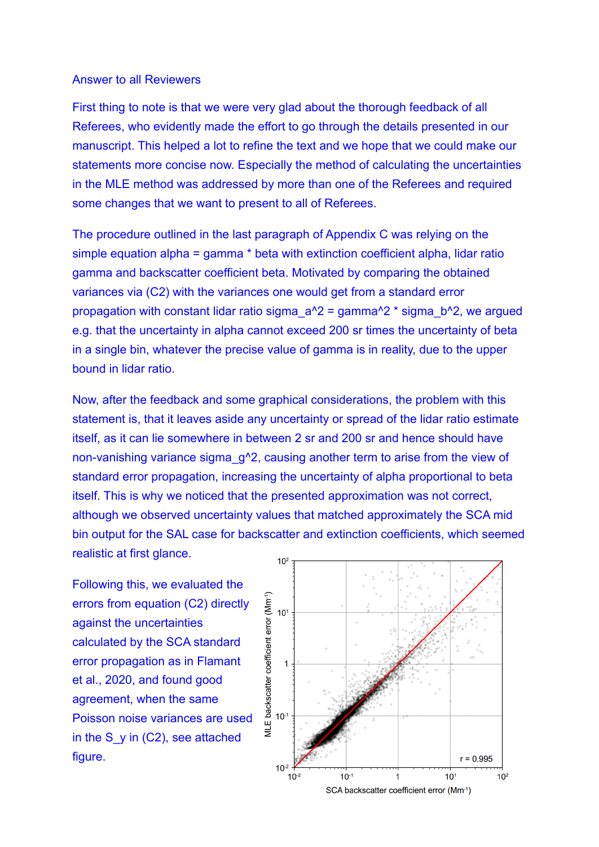#### Answer to all Reviewers

First thing to note is that we were very glad about the thorough feedback of all Referees, who evidently made the effort to go through the details presented in our manuscript. This helped a lot to refine the text and we hope that we could make our statements more concise now. Especially the method of calculating the uncertainties in the MLE method was addressed by more than one of the Referees and required some changes that we want to present to all of Referees.

The procedure outlined in the last paragraph of Appendix C was relying on the simple equation alpha = gamma \* beta with extinction coefficient alpha, lidar ratio gamma and backscatter coefficient beta. Motivated by comparing the obtained variances via (C2) with the variances one would get from a standard error propagation with constant lidar ratio sigma  $a^2 = 2$  amma<sup> $2$ </sup> \* sigma  $b^2$ , we argued e.g. that the uncertainty in alpha cannot exceed 200 sr times the uncertainty of beta in a single bin, whatever the precise value of gamma is in reality, due to the upper bound in lidar ratio.

Now, after the feedback and some graphical considerations, the problem with this statement is, that it leaves aside any uncertainty or spread of the lidar ratio estimate itself, as it can lie somewhere in between 2 sr and 200 sr and hence should have non-vanishing variance sigma  $q^2$ , causing another term to arise from the view of standard error propagation, increasing the uncertainty of alpha proportional to beta itself. This is why we noticed that the presented approximation was not correct, although we observed uncertainty values that matched approximately the SCA mid bin output for the SAL case for backscatter and extinction coefficients, which seemed realistic at first glance.

Following this, we evaluated the errors from equation (C2) directly against the uncertainties calculated by the SCA standard error propagation as in Flamant et al., 2020, and found good agreement, when the same Poisson noise variances are used in the S\_y in (C2), see attached figure.

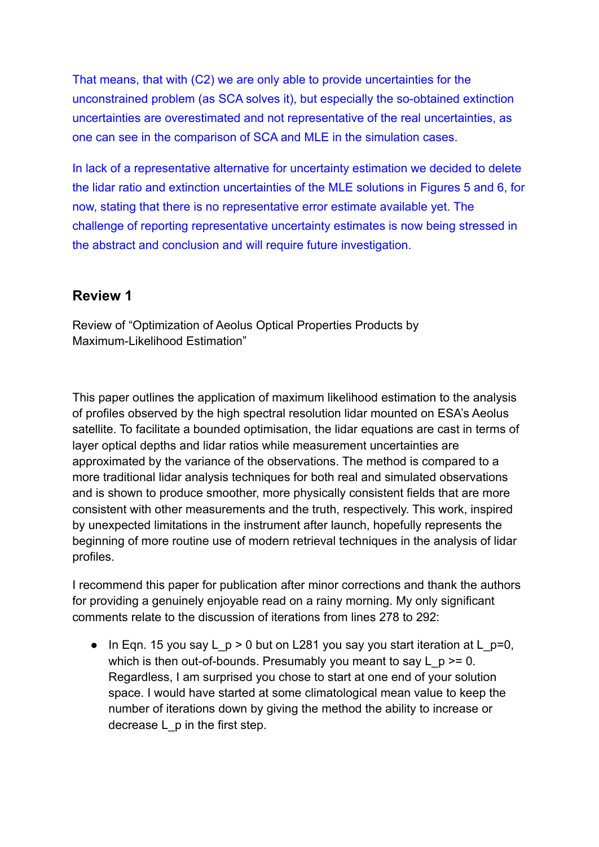That means, that with (C2) we are only able to provide uncertainties for the unconstrained problem (as SCA solves it), but especially the so-obtained extinction uncertainties are overestimated and not representative of the real uncertainties, as one can see in the comparison of SCA and MLE in the simulation cases.

In lack of a representative alternative for uncertainty estimation we decided to delete the lidar ratio and extinction uncertainties of the MLE solutions in Figures 5 and 6, for now, stating that there is no representative error estimate available yet. The challenge of reporting representative uncertainty estimates is now being stressed in the abstract and conclusion and will require future investigation.

# **Review 1**

Review of "Optimization of Aeolus Optical Properties Products by Maximum-Likelihood Estimation"

This paper outlines the application of maximum likelihood estimation to the analysis of profiles observed by the high spectral resolution lidar mounted on ESA's Aeolus satellite. To facilitate a bounded optimisation, the lidar equations are cast in terms of layer optical depths and lidar ratios while measurement uncertainties are approximated by the variance of the observations. The method is compared to a more traditional lidar analysis techniques for both real and simulated observations and is shown to produce smoother, more physically consistent fields that are more consistent with other measurements and the truth, respectively. This work, inspired by unexpected limitations in the instrument after launch, hopefully represents the beginning of more routine use of modern retrieval techniques in the analysis of lidar profiles.

I recommend this paper for publication after minor corrections and thank the authors for providing a genuinely enjoyable read on a rainy morning. My only significant comments relate to the discussion of iterations from lines 278 to 292:

• In Eqn. 15 you say L  $p > 0$  but on L281 you say you start iteration at L  $p=0$ . which is then out-of-bounds. Presumably you meant to say  $L$   $p \ge 0$ . Regardless, I am surprised you chose to start at one end of your solution space. I would have started at some climatological mean value to keep the number of iterations down by giving the method the ability to increase or decrease L\_p in the first step.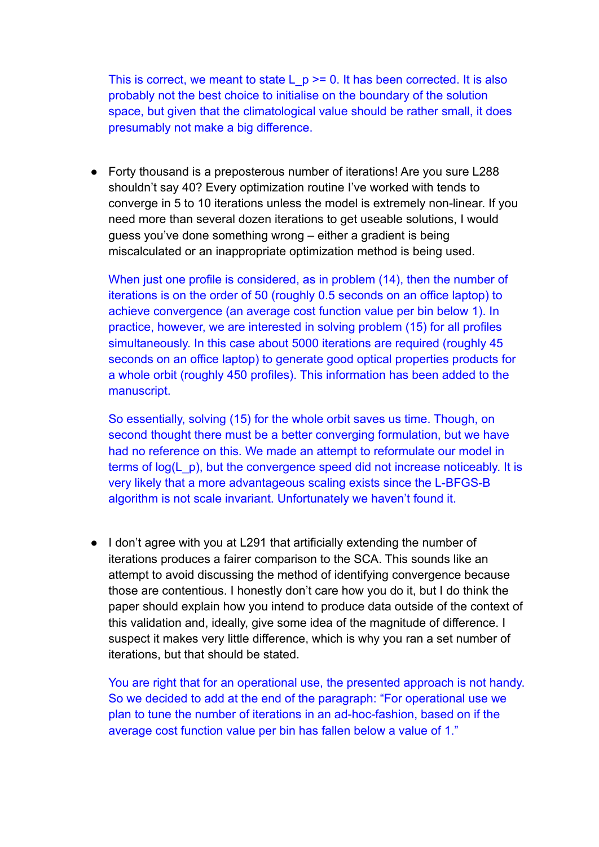This is correct, we meant to state L  $p \ge 0$ . It has been corrected. It is also probably not the best choice to initialise on the boundary of the solution space, but given that the climatological value should be rather small, it does presumably not make a big difference.

● Forty thousand is a preposterous number of iterations! Are you sure L288 shouldn't say 40? Every optimization routine I've worked with tends to converge in 5 to 10 iterations unless the model is extremely non-linear. If you need more than several dozen iterations to get useable solutions, I would guess you've done something wrong – either a gradient is being miscalculated or an inappropriate optimization method is being used.

When just one profile is considered, as in problem (14), then the number of iterations is on the order of 50 (roughly 0.5 seconds on an office laptop) to achieve convergence (an average cost function value per bin below 1). In practice, however, we are interested in solving problem (15) for all profiles simultaneously. In this case about 5000 iterations are required (roughly 45) seconds on an office laptop) to generate good optical properties products for a whole orbit (roughly 450 profiles). This information has been added to the manuscript.

So essentially, solving (15) for the whole orbit saves us time. Though, on second thought there must be a better converging formulation, but we have had no reference on this. We made an attempt to reformulate our model in terms of log(L\_p), but the convergence speed did not increase noticeably. It is very likely that a more advantageous scaling exists since the L-BFGS-B algorithm is not scale invariant. Unfortunately we haven't found it.

● I don't agree with you at L291 that artificially extending the number of iterations produces a fairer comparison to the SCA. This sounds like an attempt to avoid discussing the method of identifying convergence because those are contentious. I honestly don't care how you do it, but I do think the paper should explain how you intend to produce data outside of the context of this validation and, ideally, give some idea of the magnitude of difference. I suspect it makes very little difference, which is why you ran a set number of iterations, but that should be stated.

You are right that for an operational use, the presented approach is not handy. So we decided to add at the end of the paragraph: "For operational use we plan to tune the number of iterations in an ad-hoc-fashion, based on if the average cost function value per bin has fallen below a value of 1."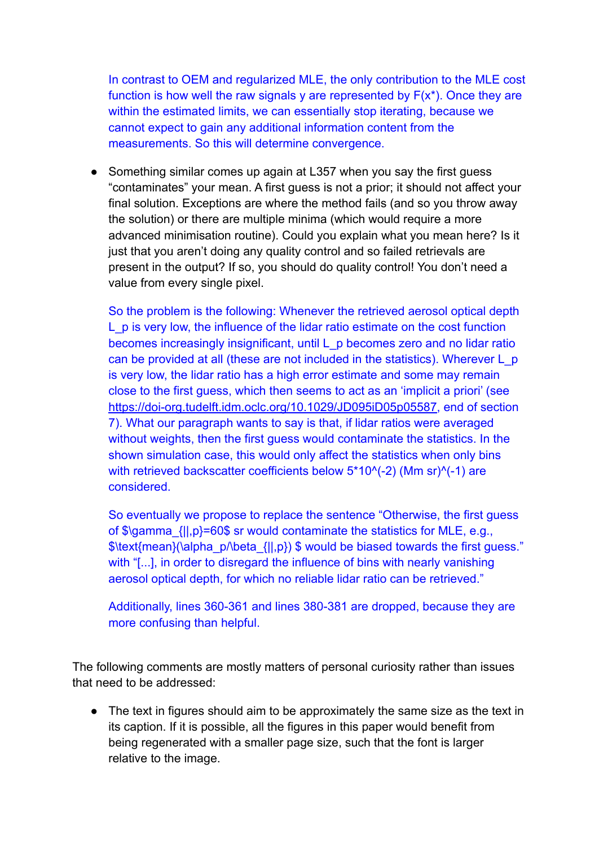In contrast to OEM and regularized MLE, the only contribution to the MLE cost function is how well the raw signals y are represented by  $F(x^*)$ . Once they are within the estimated limits, we can essentially stop iterating, because we cannot expect to gain any additional information content from the measurements. So this will determine convergence.

• Something similar comes up again at L357 when you say the first quess "contaminates" your mean. A first guess is not a prior; it should not affect your final solution. Exceptions are where the method fails (and so you throw away the solution) or there are multiple minima (which would require a more advanced minimisation routine). Could you explain what you mean here? Is it just that you aren't doing any quality control and so failed retrievals are present in the output? If so, you should do quality control! You don't need a value from every single pixel.

So the problem is the following: Whenever the retrieved aerosol optical depth L\_p is very low, the influence of the lidar ratio estimate on the cost function becomes increasingly insignificant, until L\_p becomes zero and no lidar ratio can be provided at all (these are not included in the statistics). Wherever L\_p is very low, the lidar ratio has a high error estimate and some may remain close to the first guess, which then seems to act as an 'implicit a priori' (see [https://doi-org.tudelft.idm.oclc.org/10.1029/JD095iD05p05587,](https://doi-org.tudelft.idm.oclc.org/10.1029/JD095iD05p05587) end of section 7). What our paragraph wants to say is that, if lidar ratios were averaged without weights, then the first guess would contaminate the statistics. In the shown simulation case, this would only affect the statistics when only bins with retrieved backscatter coefficients below 5\*10^(-2) (Mm sr)^(-1) are considered.

So eventually we propose to replace the sentence "Otherwise, the first guess of  $\gamma_{\text{gamma}}$  {||,p}=60\$ sr would contaminate the statistics for MLE, e.g., \$\text{mean}(\alpha\_p/\beta\_{||,p}) \$ would be biased towards the first guess." with "[...], in order to disregard the influence of bins with nearly vanishing aerosol optical depth, for which no reliable lidar ratio can be retrieved."

Additionally, lines 360-361 and lines 380-381 are dropped, because they are more confusing than helpful.

The following comments are mostly matters of personal curiosity rather than issues that need to be addressed:

● The text in figures should aim to be approximately the same size as the text in its caption. If it is possible, all the figures in this paper would benefit from being regenerated with a smaller page size, such that the font is larger relative to the image.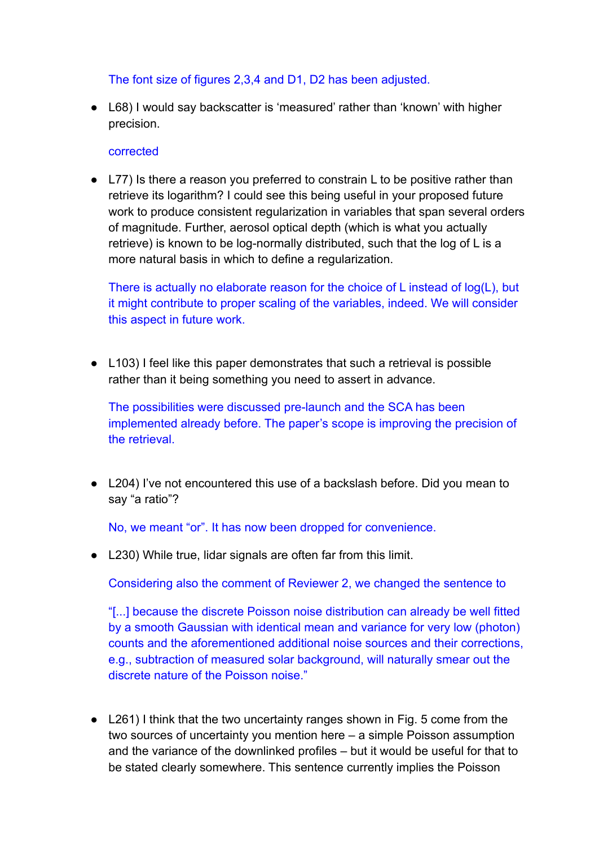The font size of figures 2,3,4 and D1, D2 has been adjusted.

● L68) I would say backscatter is 'measured' rather than 'known' with higher precision.

### corrected

● L77) Is there a reason you preferred to constrain L to be positive rather than retrieve its logarithm? I could see this being useful in your proposed future work to produce consistent regularization in variables that span several orders of magnitude. Further, aerosol optical depth (which is what you actually retrieve) is known to be log-normally distributed, such that the log of L is a more natural basis in which to define a regularization.

There is actually no elaborate reason for the choice of L instead of log(L), but it might contribute to proper scaling of the variables, indeed. We will consider this aspect in future work.

● L103) I feel like this paper demonstrates that such a retrieval is possible rather than it being something you need to assert in advance.

The possibilities were discussed pre-launch and the SCA has been implemented already before. The paper's scope is improving the precision of the retrieval.

● L204) I've not encountered this use of a backslash before. Did you mean to say "a ratio"?

No, we meant "or". It has now been dropped for convenience.

● L230) While true, lidar signals are often far from this limit.

Considering also the comment of Reviewer 2, we changed the sentence to

"[...] because the discrete Poisson noise distribution can already be well fitted by a smooth Gaussian with identical mean and variance for very low (photon) counts and the aforementioned additional noise sources and their corrections, e.g., subtraction of measured solar background, will naturally smear out the discrete nature of the Poisson noise."

● L261) I think that the two uncertainty ranges shown in Fig. 5 come from the two sources of uncertainty you mention here – a simple Poisson assumption and the variance of the downlinked profiles – but it would be useful for that to be stated clearly somewhere. This sentence currently implies the Poisson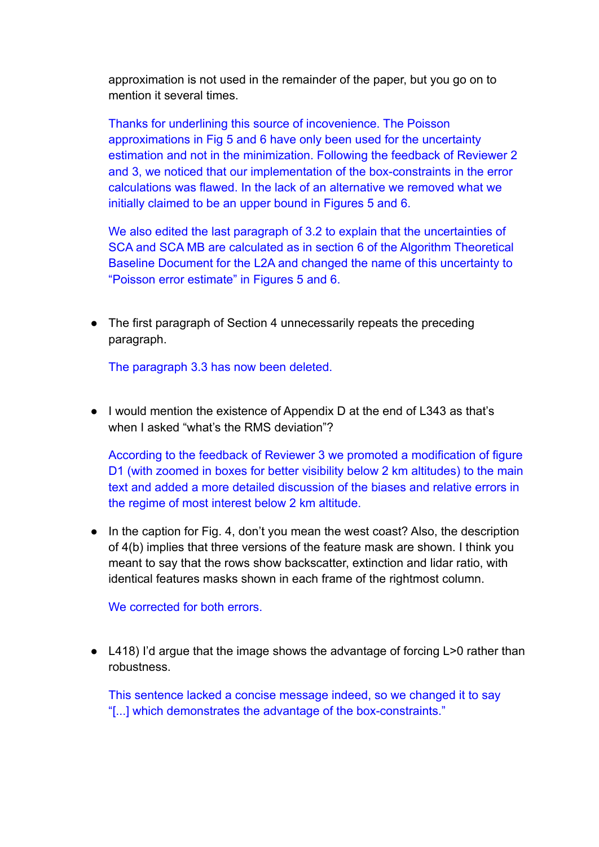approximation is not used in the remainder of the paper, but you go on to mention it several times.

Thanks for underlining this source of incovenience. The Poisson approximations in Fig 5 and 6 have only been used for the uncertainty estimation and not in the minimization. Following the feedback of Reviewer 2 and 3, we noticed that our implementation of the box-constraints in the error calculations was flawed. In the lack of an alternative we removed what we initially claimed to be an upper bound in Figures 5 and 6.

We also edited the last paragraph of 3.2 to explain that the uncertainties of SCA and SCA MB are calculated as in section 6 of the Algorithm Theoretical Baseline Document for the L2A and changed the name of this uncertainty to "Poisson error estimate" in Figures 5 and 6.

• The first paragraph of Section 4 unnecessarily repeats the preceding paragraph.

The paragraph 3.3 has now been deleted.

● I would mention the existence of Appendix D at the end of L343 as that's when I asked "what's the RMS deviation"?

According to the feedback of Reviewer 3 we promoted a modification of figure D1 (with zoomed in boxes for better visibility below 2 km altitudes) to the main text and added a more detailed discussion of the biases and relative errors in the regime of most interest below 2 km altitude.

• In the caption for Fig. 4, don't you mean the west coast? Also, the description of 4(b) implies that three versions of the feature mask are shown. I think you meant to say that the rows show backscatter, extinction and lidar ratio, with identical features masks shown in each frame of the rightmost column.

We corrected for both errors.

● L418) I'd argue that the image shows the advantage of forcing L>0 rather than robustness.

This sentence lacked a concise message indeed, so we changed it to say "[...] which demonstrates the advantage of the box-constraints."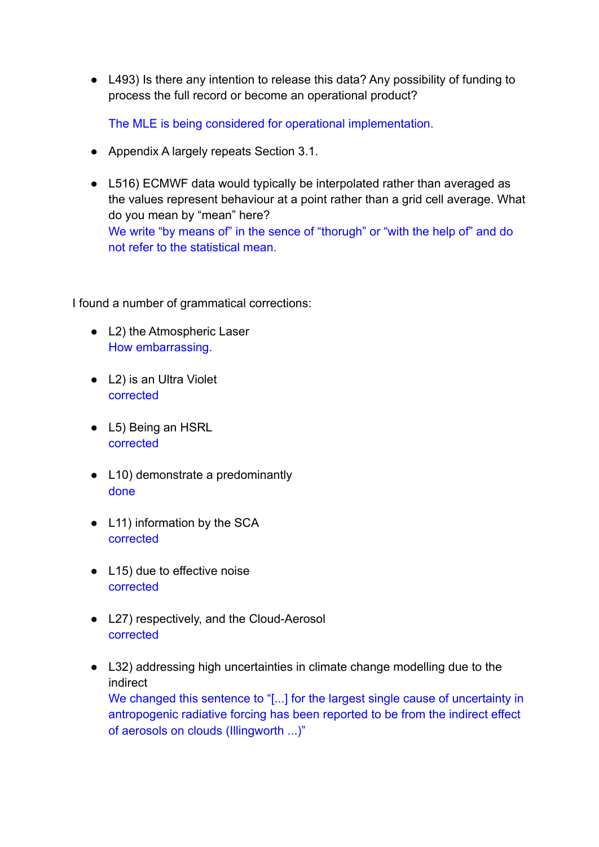● L493) Is there any intention to release this data? Any possibility of funding to process the full record or become an operational product?

The MLE is being considered for operational implementation.

- Appendix A largely repeats Section 3.1.
- L516) ECMWF data would typically be interpolated rather than averaged as the values represent behaviour at a point rather than a grid cell average. What do you mean by "mean" here? We write "by means of" in the sence of "thorugh" or "with the help of" and do not refer to the statistical mean.

I found a number of grammatical corrections:

- L2) the Atmospheric Laser How embarrassing.
- L2) is an Ultra Violet corrected
- L5) Being an HSRL corrected
- L10) demonstrate a predominantly done
- L11) information by the SCA corrected
- L15) due to effective noise corrected
- L27) respectively, and the Cloud-Aerosol corrected
- L32) addressing high uncertainties in climate change modelling due to the indirect

We changed this sentence to "[...] for the largest single cause of uncertainty in antropogenic radiative forcing has been reported to be from the indirect effect of aerosols on clouds (Illingworth ...)"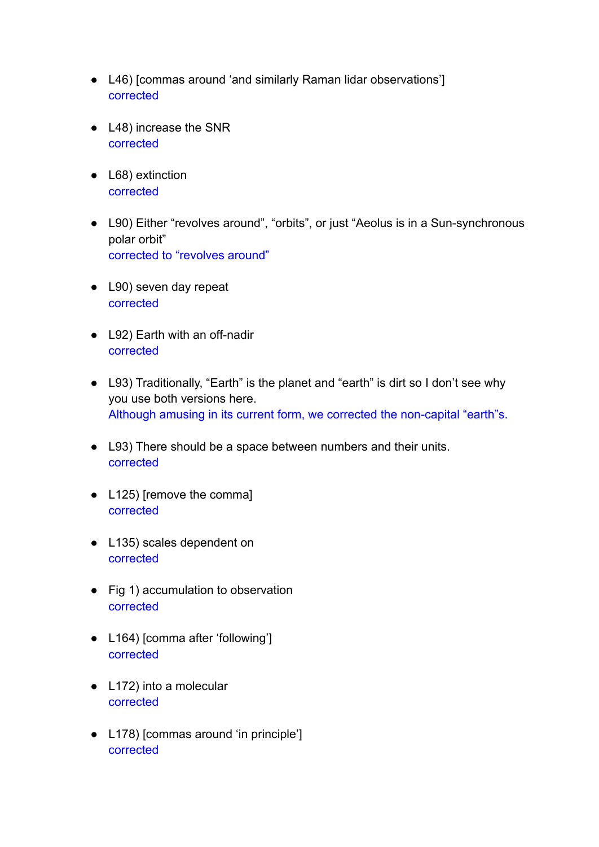- L46) [commas around 'and similarly Raman lidar observations'] corrected
- L48) increase the SNR corrected
- L68) extinction corrected
- L90) Either "revolves around", "orbits", or just "Aeolus is in a Sun-synchronous polar orbit" corrected to "revolves around"
- L90) seven day repeat corrected
- L92) Earth with an off-nadir corrected
- L93) Traditionally, "Earth" is the planet and "earth" is dirt so I don't see why you use both versions here. Although amusing in its current form, we corrected the non-capital "earth"s.
- L93) There should be a space between numbers and their units. corrected
- L125) [remove the comma] corrected
- L135) scales dependent on corrected
- Fig 1) accumulation to observation corrected
- L164) [comma after 'following'] corrected
- L172) into a molecular corrected
- L178) [commas around 'in principle'] corrected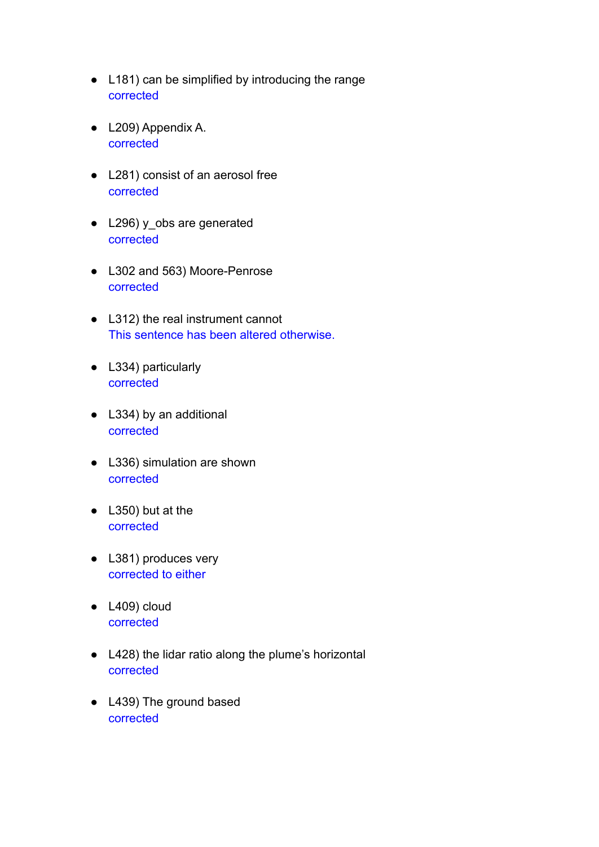- L181) can be simplified by introducing the range corrected
- L209) Appendix A. corrected
- L281) consist of an aerosol free corrected
- L296) y\_obs are generated corrected
- L302 and 563) Moore-Penrose corrected
- L312) the real instrument cannot This sentence has been altered otherwise.
- L334) particularly corrected
- L334) by an additional corrected
- L336) simulation are shown corrected
- L350) but at the corrected
- L381) produces very corrected to either
- L409) cloud corrected
- L428) the lidar ratio along the plume's horizontal corrected
- L439) The ground based corrected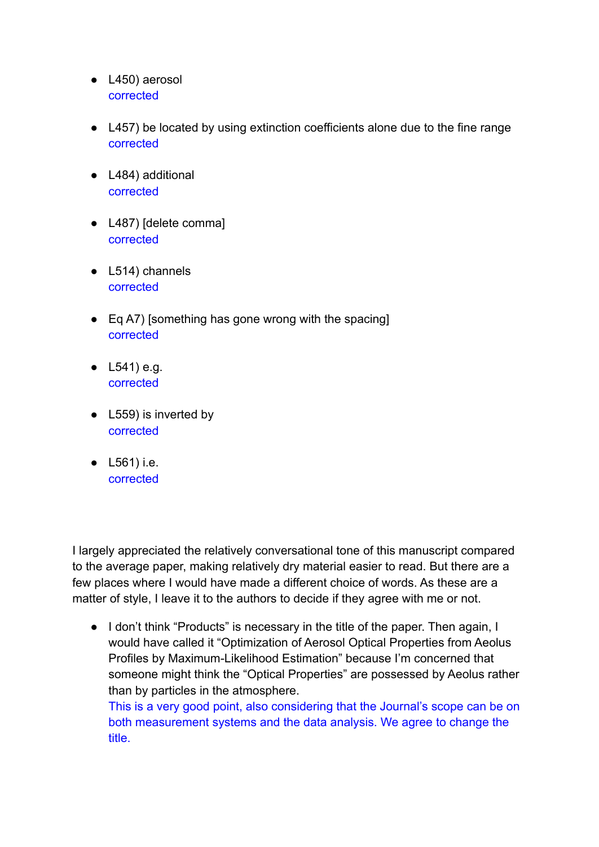- L450) aerosol corrected
- L457) be located by using extinction coefficients alone due to the fine range corrected
- L484) additional corrected
- L487) [delete comma] corrected
- L514) channels corrected
- Eq A7) [something has gone wrong with the spacing] corrected
- L541) e.g. corrected
- L559) is inverted by corrected
- L561) i.e. corrected

I largely appreciated the relatively conversational tone of this manuscript compared to the average paper, making relatively dry material easier to read. But there are a few places where I would have made a different choice of words. As these are a matter of style, I leave it to the authors to decide if they agree with me or not.

● I don't think "Products" is necessary in the title of the paper. Then again, I would have called it "Optimization of Aerosol Optical Properties from Aeolus Profiles by Maximum-Likelihood Estimation" because I'm concerned that someone might think the "Optical Properties" are possessed by Aeolus rather than by particles in the atmosphere.

This is a very good point, also considering that the Journal's scope can be on both measurement systems and the data analysis. We agree to change the title.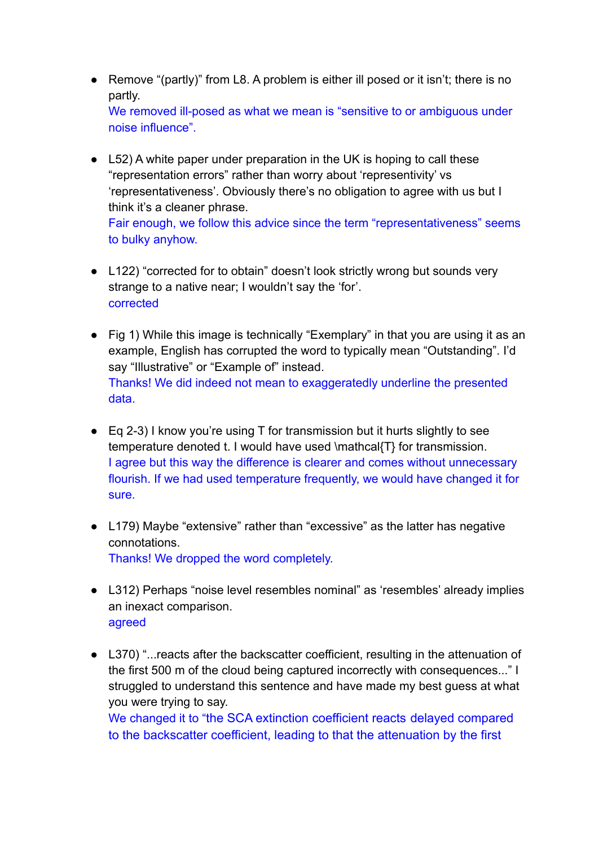- Remove "(partly)" from L8. A problem is either ill posed or it isn't; there is no partly. We removed ill-posed as what we mean is "sensitive to or ambiguous under noise influence".
- L52) A white paper under preparation in the UK is hoping to call these "representation errors" rather than worry about 'representivity' vs 'representativeness'. Obviously there's no obligation to agree with us but I think it's a cleaner phrase. Fair enough, we follow this advice since the term "representativeness" seems to bulky anyhow.
- L122) "corrected for to obtain" doesn't look strictly wrong but sounds very strange to a native near; I wouldn't say the 'for'. corrected
- Fig 1) While this image is technically "Exemplary" in that you are using it as an example, English has corrupted the word to typically mean "Outstanding". I'd say "Illustrative" or "Example of" instead. Thanks! We did indeed not mean to exaggeratedly underline the presented data.
- Eq 2-3) I know you're using T for transmission but it hurts slightly to see temperature denoted t. I would have used \mathcal{T} for transmission. I agree but this way the difference is clearer and comes without unnecessary flourish. If we had used temperature frequently, we would have changed it for sure.
- L179) Maybe "extensive" rather than "excessive" as the latter has negative connotations. Thanks! We dropped the word completely.
- L312) Perhaps "noise level resembles nominal" as 'resembles' already implies an inexact comparison. agreed
- L370) "...reacts after the backscatter coefficient, resulting in the attenuation of the first 500 m of the cloud being captured incorrectly with consequences..." I struggled to understand this sentence and have made my best guess at what you were trying to say.

We changed it to "the SCA extinction coefficient reacts delayed compared to the backscatter coefficient, leading to that the attenuation by the first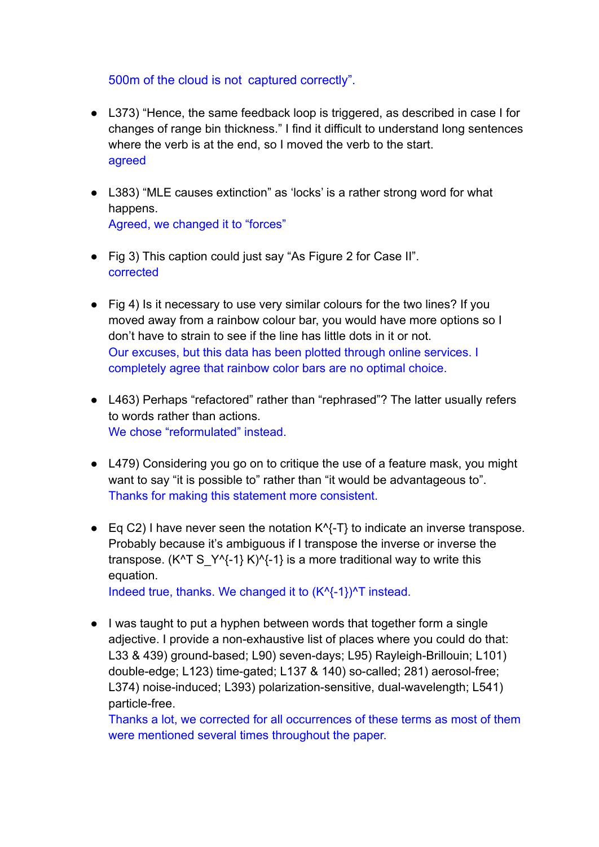## 500m of the cloud is not captured correctly".

- L373) "Hence, the same feedback loop is triggered, as described in case I for changes of range bin thickness." I find it difficult to understand long sentences where the verb is at the end, so I moved the verb to the start. agreed
- L383) "MLE causes extinction" as 'locks' is a rather strong word for what happens. Agreed, we changed it to "forces"
- Fig 3) This caption could just say "As Figure 2 for Case II". corrected
- Fig 4) Is it necessary to use very similar colours for the two lines? If you moved away from a rainbow colour bar, you would have more options so I don't have to strain to see if the line has little dots in it or not. Our excuses, but this data has been plotted through online services. I completely agree that rainbow color bars are no optimal choice.
- L463) Perhaps "refactored" rather than "rephrased"? The latter usually refers to words rather than actions. We chose "reformulated" instead.
- L479) Considering you go on to critique the use of a feature mask, you might want to say "it is possible to" rather than "it would be advantageous to". Thanks for making this statement more consistent.
- Eq C2) I have never seen the notation K^{-T} to indicate an inverse transpose. Probably because it's ambiguous if I transpose the inverse or inverse the transpose. (K^T S Y^{-1} K)^{-1} is a more traditional way to write this equation. Indeed true, thanks. We changed it to  $(K^{2-1})^T$  instead.

● I was taught to put a hyphen between words that together form a single adjective. I provide a non-exhaustive list of places where you could do that: L33 & 439) ground-based; L90) seven-days; L95) Rayleigh-Brillouin; L101) double-edge; L123) time-gated; L137 & 140) so-called; 281) aerosol-free; L374) noise-induced; L393) polarization-sensitive, dual-wavelength; L541) particle-free.

Thanks a lot, we corrected for all occurrences of these terms as most of them were mentioned several times throughout the paper.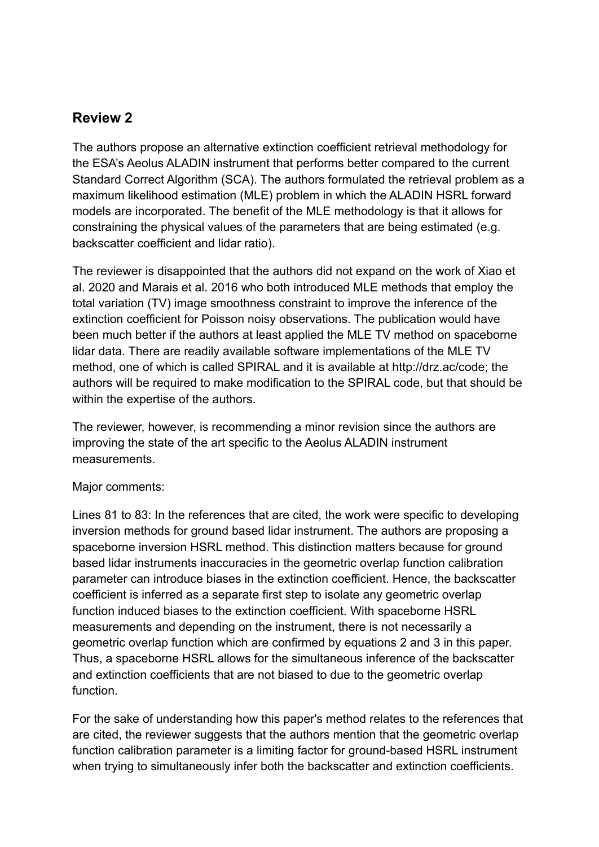# **Review 2**

The authors propose an alternative extinction coefficient retrieval methodology for the ESA's Aeolus ALADIN instrument that performs better compared to the current Standard Correct Algorithm (SCA). The authors formulated the retrieval problem as a maximum likelihood estimation (MLE) problem in which the ALADIN HSRL forward models are incorporated. The benefit of the MLE methodology is that it allows for constraining the physical values of the parameters that are being estimated (e.g. backscatter coefficient and lidar ratio).

The reviewer is disappointed that the authors did not expand on the work of Xiao et al. 2020 and Marais et al. 2016 who both introduced MLE methods that employ the total variation (TV) image smoothness constraint to improve the inference of the extinction coefficient for Poisson noisy observations. The publication would have been much better if the authors at least applied the MLE TV method on spaceborne lidar data. There are readily available software implementations of the MLE TV method, one of which is called SPIRAL and it is available at http://drz.ac/code; the authors will be required to make modification to the SPIRAL code, but that should be within the expertise of the authors.

The reviewer, however, is recommending a minor revision since the authors are improving the state of the art specific to the Aeolus ALADIN instrument measurements.

### Major comments:

Lines 81 to 83: In the references that are cited, the work were specific to developing inversion methods for ground based lidar instrument. The authors are proposing a spaceborne inversion HSRL method. This distinction matters because for ground based lidar instruments inaccuracies in the geometric overlap function calibration parameter can introduce biases in the extinction coefficient. Hence, the backscatter coefficient is inferred as a separate first step to isolate any geometric overlap function induced biases to the extinction coefficient. With spaceborne HSRL measurements and depending on the instrument, there is not necessarily a geometric overlap function which are confirmed by equations 2 and 3 in this paper. Thus, a spaceborne HSRL allows for the simultaneous inference of the backscatter and extinction coefficients that are not biased to due to the geometric overlap function.

For the sake of understanding how this paper's method relates to the references that are cited, the reviewer suggests that the authors mention that the geometric overlap function calibration parameter is a limiting factor for ground-based HSRL instrument when trying to simultaneously infer both the backscatter and extinction coefficients.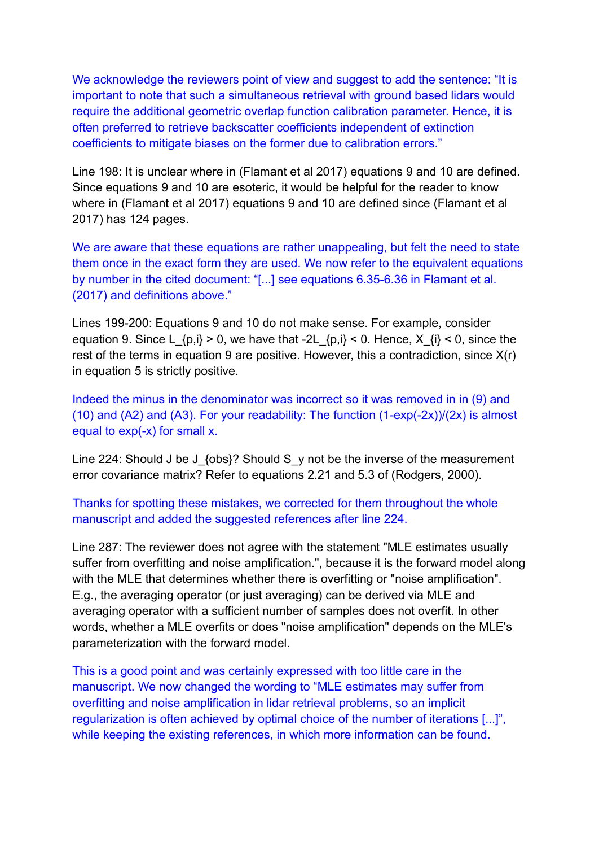We acknowledge the reviewers point of view and suggest to add the sentence: "It is important to note that such a simultaneous retrieval with ground based lidars would require the additional geometric overlap function calibration parameter. Hence, it is often preferred to retrieve backscatter coefficients independent of extinction coefficients to mitigate biases on the former due to calibration errors."

Line 198: It is unclear where in (Flamant et al 2017) equations 9 and 10 are defined. Since equations 9 and 10 are esoteric, it would be helpful for the reader to know where in (Flamant et al 2017) equations 9 and 10 are defined since (Flamant et al 2017) has 124 pages.

We are aware that these equations are rather unappealing, but felt the need to state them once in the exact form they are used. We now refer to the equivalent equations by number in the cited document: "[...] see equations 6.35-6.36 in Flamant et al. (2017) and definitions above."

Lines 199-200: Equations 9 and 10 do not make sense. For example, consider equation 9. Since L  $\{p,i\} > 0$ , we have that -2L  $\{p,i\} < 0$ . Hence, X  $\{i\} < 0$ , since the rest of the terms in equation 9 are positive. However, this a contradiction, since X(r) in equation 5 is strictly positive.

Indeed the minus in the denominator was incorrect so it was removed in in (9) and (10) and (A2) and (A3). For your readability: The function  $(1-exp(-2x))/(2x)$  is almost equal to exp(-x) for small x.

Line 224: Should J be J {obs}? Should S\_y not be the inverse of the measurement error covariance matrix? Refer to equations 2.21 and 5.3 of (Rodgers, 2000).

Thanks for spotting these mistakes, we corrected for them throughout the whole manuscript and added the suggested references after line 224.

Line 287: The reviewer does not agree with the statement "MLE estimates usually suffer from overfitting and noise amplification.", because it is the forward model along with the MLE that determines whether there is overfitting or "noise amplification". E.g., the averaging operator (or just averaging) can be derived via MLE and averaging operator with a sufficient number of samples does not overfit. In other words, whether a MLE overfits or does "noise amplification" depends on the MLE's parameterization with the forward model.

This is a good point and was certainly expressed with too little care in the manuscript. We now changed the wording to "MLE estimates may suffer from overfitting and noise amplification in lidar retrieval problems, so an implicit regularization is often achieved by optimal choice of the number of iterations [...]", while keeping the existing references, in which more information can be found.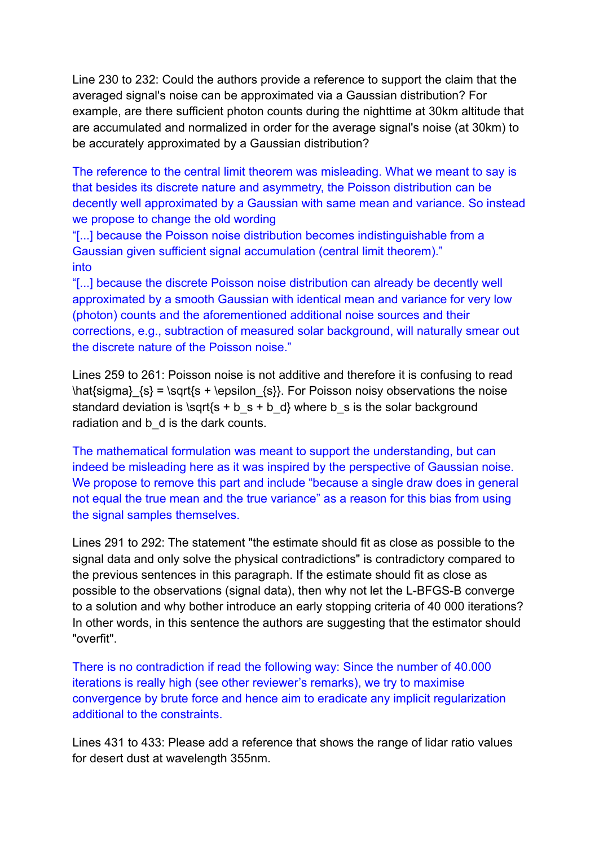Line 230 to 232: Could the authors provide a reference to support the claim that the averaged signal's noise can be approximated via a Gaussian distribution? For example, are there sufficient photon counts during the nighttime at 30km altitude that are accumulated and normalized in order for the average signal's noise (at 30km) to be accurately approximated by a Gaussian distribution?

The reference to the central limit theorem was misleading. What we meant to say is that besides its discrete nature and asymmetry, the Poisson distribution can be decently well approximated by a Gaussian with same mean and variance. So instead we propose to change the old wording

"[...] because the Poisson noise distribution becomes indistinguishable from a Gaussian given sufficient signal accumulation (central limit theorem)." into

"[...] because the discrete Poisson noise distribution can already be decently well approximated by a smooth Gaussian with identical mean and variance for very low (photon) counts and the aforementioned additional noise sources and their corrections, e.g., subtraction of measured solar background, will naturally smear out the discrete nature of the Poisson noise."

Lines 259 to 261: Poisson noise is not additive and therefore it is confusing to read  $\hat{s}$  = \sqrt{s + \epsilon {s}}. For Poisson noisy observations the noise standard deviation is \sqrt{s + b\_s + b\_d} where b\_s is the solar background radiation and b d is the dark counts.

The mathematical formulation was meant to support the understanding, but can indeed be misleading here as it was inspired by the perspective of Gaussian noise. We propose to remove this part and include "because a single draw does in general not equal the true mean and the true variance" as a reason for this bias from using the signal samples themselves.

Lines 291 to 292: The statement "the estimate should fit as close as possible to the signal data and only solve the physical contradictions" is contradictory compared to the previous sentences in this paragraph. If the estimate should fit as close as possible to the observations (signal data), then why not let the L-BFGS-B converge to a solution and why bother introduce an early stopping criteria of 40 000 iterations? In other words, in this sentence the authors are suggesting that the estimator should "overfit".

There is no contradiction if read the following way: Since the number of 40.000 iterations is really high (see other reviewer's remarks), we try to maximise convergence by brute force and hence aim to eradicate any implicit regularization additional to the constraints.

Lines 431 to 433: Please add a reference that shows the range of lidar ratio values for desert dust at wavelength 355nm.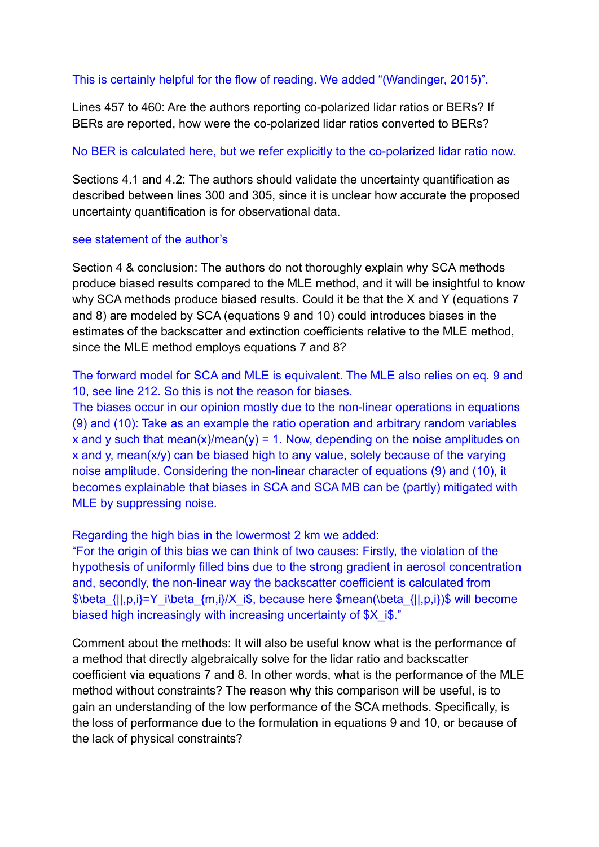## This is certainly helpful for the flow of reading. We added "(Wandinger, 2015)".

Lines 457 to 460: Are the authors reporting co-polarized lidar ratios or BERs? If BERs are reported, how were the co-polarized lidar ratios converted to BERs?

## No BER is calculated here, but we refer explicitly to the co-polarized lidar ratio now.

Sections 4.1 and 4.2: The authors should validate the uncertainty quantification as described between lines 300 and 305, since it is unclear how accurate the proposed uncertainty quantification is for observational data.

### see statement of the author's

Section 4 & conclusion: The authors do not thoroughly explain why SCA methods produce biased results compared to the MLE method, and it will be insightful to know why SCA methods produce biased results. Could it be that the X and Y (equations 7 and 8) are modeled by SCA (equations 9 and 10) could introduces biases in the estimates of the backscatter and extinction coefficients relative to the MLE method, since the MLE method employs equations 7 and 8?

The forward model for SCA and MLE is equivalent. The MLE also relies on eq. 9 and 10, see line 212. So this is not the reason for biases.

The biases occur in our opinion mostly due to the non-linear operations in equations (9) and (10): Take as an example the ratio operation and arbitrary random variables x and y such that mean(x)/mean(y) = 1. Now, depending on the noise amplitudes on x and y, mean(x/y) can be biased high to any value, solely because of the varying noise amplitude. Considering the non-linear character of equations (9) and (10), it becomes explainable that biases in SCA and SCA MB can be (partly) mitigated with MLE by suppressing noise.

Regarding the high bias in the lowermost 2 km we added:

"For the origin of this bias we can think of two causes: Firstly, the violation of the hypothesis of uniformly filled bins due to the strong gradient in aerosol concentration and, secondly, the non-linear way the backscatter coefficient is calculated from \$\beta  $\{|,p,i\rangle=Y$  i\beta  $\{m,i\}/X$  i\$, because here \$mean(\beta  $\{|,p,i\rangle\}$ \$ will become biased high increasingly with increasing uncertainty of \$X i\$."

Comment about the methods: It will also be useful know what is the performance of a method that directly algebraically solve for the lidar ratio and backscatter coefficient via equations 7 and 8. In other words, what is the performance of the MLE method without constraints? The reason why this comparison will be useful, is to gain an understanding of the low performance of the SCA methods. Specifically, is the loss of performance due to the formulation in equations 9 and 10, or because of the lack of physical constraints?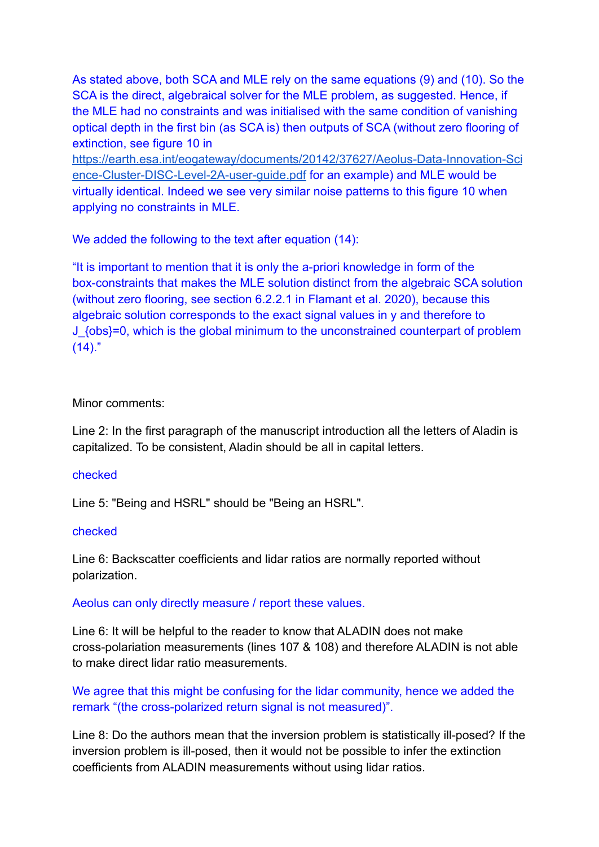As stated above, both SCA and MLE rely on the same equations (9) and (10). So the SCA is the direct, algebraical solver for the MLE problem, as suggested. Hence, if the MLE had no constraints and was initialised with the same condition of vanishing optical depth in the first bin (as SCA is) then outputs of SCA (without zero flooring of extinction, see figure 10 in

[https://earth.esa.int/eogateway/documents/20142/37627/Aeolus-Data-Innovation-Sci](https://earth.esa.int/eogateway/documents/20142/37627/Aeolus-Data-Innovation-Science-Cluster-DISC-Level-2A-user-guide.pdf) [ence-Cluster-DISC-Level-2A-user-guide.pdf](https://earth.esa.int/eogateway/documents/20142/37627/Aeolus-Data-Innovation-Science-Cluster-DISC-Level-2A-user-guide.pdf) for an example) and MLE would be virtually identical. Indeed we see very similar noise patterns to this figure 10 when applying no constraints in MLE.

We added the following to the text after equation (14):

"It is important to mention that it is only the a-priori knowledge in form of the box-constraints that makes the MLE solution distinct from the algebraic SCA solution (without zero flooring, see section 6.2.2.1 in Flamant et al. 2020), because this algebraic solution corresponds to the exact signal values in y and therefore to J {obs}=0, which is the global minimum to the unconstrained counterpart of problem  $(14).$ "

### Minor comments:

Line 2: In the first paragraph of the manuscript introduction all the letters of Aladin is capitalized. To be consistent, Aladin should be all in capital letters.

### checked

Line 5: "Being and HSRL" should be "Being an HSRL".

### checked

Line 6: Backscatter coefficients and lidar ratios are normally reported without polarization.

### Aeolus can only directly measure / report these values.

Line 6: It will be helpful to the reader to know that ALADIN does not make cross-polariation measurements (lines 107 & 108) and therefore ALADIN is not able to make direct lidar ratio measurements.

We agree that this might be confusing for the lidar community, hence we added the remark "(the cross-polarized return signal is not measured)".

Line 8: Do the authors mean that the inversion problem is statistically ill-posed? If the inversion problem is ill-posed, then it would not be possible to infer the extinction coefficients from ALADIN measurements without using lidar ratios.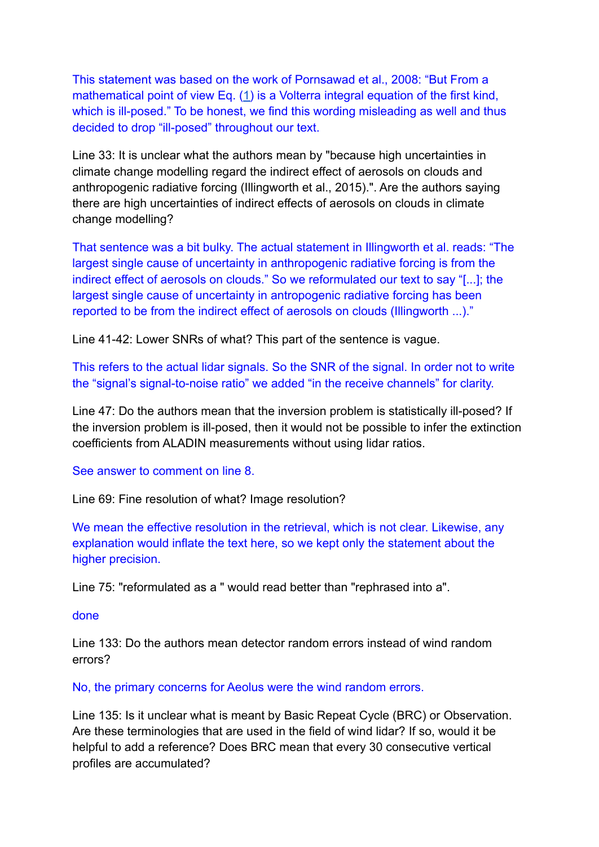This statement was based on the work of Pornsawad et al., 2008: "But From a mathematical point of view Eq. ([1\)](https://www-osapublishing-org.tudelft.idm.oclc.org/ao/fulltext.cfm?uri=ao-47-10-1649&id=156981#d1) is a Volterra integral equation of the first kind, which is ill-posed." To be honest, we find this wording misleading as well and thus decided to drop "ill-posed" throughout our text.

Line 33: It is unclear what the authors mean by "because high uncertainties in climate change modelling regard the indirect effect of aerosols on clouds and anthropogenic radiative forcing (Illingworth et al., 2015).". Are the authors saying there are high uncertainties of indirect effects of aerosols on clouds in climate change modelling?

That sentence was a bit bulky. The actual statement in Illingworth et al. reads: "The largest single cause of uncertainty in anthropogenic radiative forcing is from the indirect effect of aerosols on clouds." So we reformulated our text to say "[...]; the largest single cause of uncertainty in antropogenic radiative forcing has been reported to be from the indirect effect of aerosols on clouds (Illingworth ...)."

Line 41-42: Lower SNRs of what? This part of the sentence is vague.

This refers to the actual lidar signals. So the SNR of the signal. In order not to write the "signal's signal-to-noise ratio" we added "in the receive channels" for clarity.

Line 47: Do the authors mean that the inversion problem is statistically ill-posed? If the inversion problem is ill-posed, then it would not be possible to infer the extinction coefficients from ALADIN measurements without using lidar ratios.

See answer to comment on line 8.

Line 69: Fine resolution of what? Image resolution?

We mean the effective resolution in the retrieval, which is not clear. Likewise, any explanation would inflate the text here, so we kept only the statement about the higher precision.

Line 75: "reformulated as a " would read better than "rephrased into a".

done

Line 133: Do the authors mean detector random errors instead of wind random errors?

No, the primary concerns for Aeolus were the wind random errors.

Line 135: Is it unclear what is meant by Basic Repeat Cycle (BRC) or Observation. Are these terminologies that are used in the field of wind lidar? If so, would it be helpful to add a reference? Does BRC mean that every 30 consecutive vertical profiles are accumulated?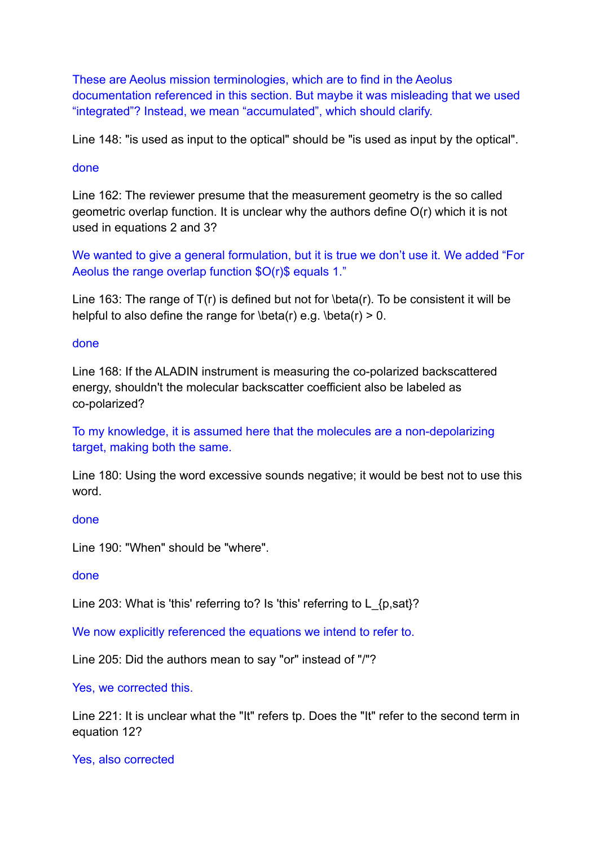These are Aeolus mission terminologies, which are to find in the Aeolus documentation referenced in this section. But maybe it was misleading that we used "integrated"? Instead, we mean "accumulated", which should clarify.

Line 148: "is used as input to the optical" should be "is used as input by the optical".

## done

Line 162: The reviewer presume that the measurement geometry is the so called geometric overlap function. It is unclear why the authors define O(r) which it is not used in equations 2 and 3?

We wanted to give a general formulation, but it is true we don't use it. We added "For Aeolus the range overlap function \$O(r)\$ equals 1."

Line 163: The range of  $T(r)$  is defined but not for \beta(r). To be consistent it will be helpful to also define the range for  $beta(r)$  e.g.  $beta(r) > 0$ .

## done

Line 168: If the ALADIN instrument is measuring the co-polarized backscattered energy, shouldn't the molecular backscatter coefficient also be labeled as co-polarized?

To my knowledge, it is assumed here that the molecules are a non-depolarizing target, making both the same.

Line 180: Using the word excessive sounds negative; it would be best not to use this word.

### done

Line 190: "When" should be "where".

### done

Line 203: What is 'this' referring to? Is 'this' referring to  $L \{p, sat\}$ ?

We now explicitly referenced the equations we intend to refer to.

Line 205: Did the authors mean to say "or" instead of "/"?

Yes, we corrected this.

Line 221: It is unclear what the "It" refers tp. Does the "It" refer to the second term in equation 12?

Yes, also corrected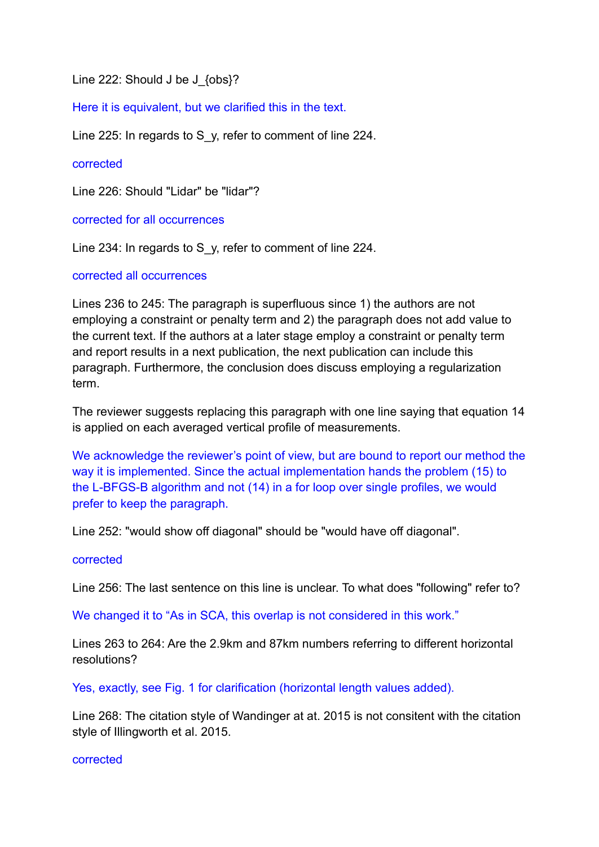Line 222: Should J be J {obs}?

Here it is equivalent, but we clarified this in the text.

Line 225: In regards to S<sub>y</sub>, refer to comment of line 224.

#### corrected

Line 226: Should "Lidar" be "lidar"?

corrected for all occurrences

Line 234: In regards to S<sub>y, refer to comment of line 224.</sub>

### corrected all occurrences

Lines 236 to 245: The paragraph is superfluous since 1) the authors are not employing a constraint or penalty term and 2) the paragraph does not add value to the current text. If the authors at a later stage employ a constraint or penalty term and report results in a next publication, the next publication can include this paragraph. Furthermore, the conclusion does discuss employing a regularization term.

The reviewer suggests replacing this paragraph with one line saying that equation 14 is applied on each averaged vertical profile of measurements.

We acknowledge the reviewer's point of view, but are bound to report our method the way it is implemented. Since the actual implementation hands the problem (15) to the L-BFGS-B algorithm and not (14) in a for loop over single profiles, we would prefer to keep the paragraph.

Line 252: "would show off diagonal" should be "would have off diagonal".

#### corrected

Line 256: The last sentence on this line is unclear. To what does "following" refer to?

We changed it to "As in SCA, this overlap is not considered in this work."

Lines 263 to 264: Are the 2.9km and 87km numbers referring to different horizontal resolutions?

Yes, exactly, see Fig. 1 for clarification (horizontal length values added).

Line 268: The citation style of Wandinger at at. 2015 is not consitent with the citation style of Illingworth et al. 2015.

#### corrected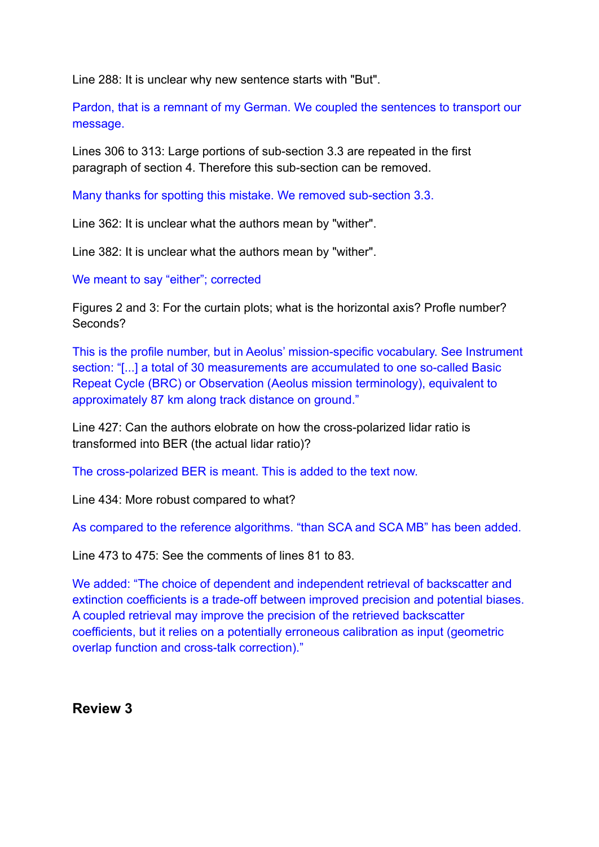Line 288: It is unclear why new sentence starts with "But".

Pardon, that is a remnant of my German. We coupled the sentences to transport our message.

Lines 306 to 313: Large portions of sub-section 3.3 are repeated in the first paragraph of section 4. Therefore this sub-section can be removed.

Many thanks for spotting this mistake. We removed sub-section 3.3.

Line 362: It is unclear what the authors mean by "wither".

Line 382: It is unclear what the authors mean by "wither".

We meant to say "either"; corrected

Figures 2 and 3: For the curtain plots; what is the horizontal axis? Profle number? Seconds?

This is the profile number, but in Aeolus' mission-specific vocabulary. See Instrument section: "[...] a total of 30 measurements are accumulated to one so-called Basic Repeat Cycle (BRC) or Observation (Aeolus mission terminology), equivalent to approximately 87 km along track distance on ground."

Line 427: Can the authors elobrate on how the cross-polarized lidar ratio is transformed into BER (the actual lidar ratio)?

The cross-polarized BER is meant. This is added to the text now.

Line 434: More robust compared to what?

As compared to the reference algorithms. "than SCA and SCA MB" has been added.

Line 473 to 475: See the comments of lines 81 to 83.

We added: "The choice of dependent and independent retrieval of backscatter and extinction coefficients is a trade-off between improved precision and potential biases. A coupled retrieval may improve the precision of the retrieved backscatter coefficients, but it relies on a potentially erroneous calibration as input (geometric overlap function and cross-talk correction)."

**Review 3**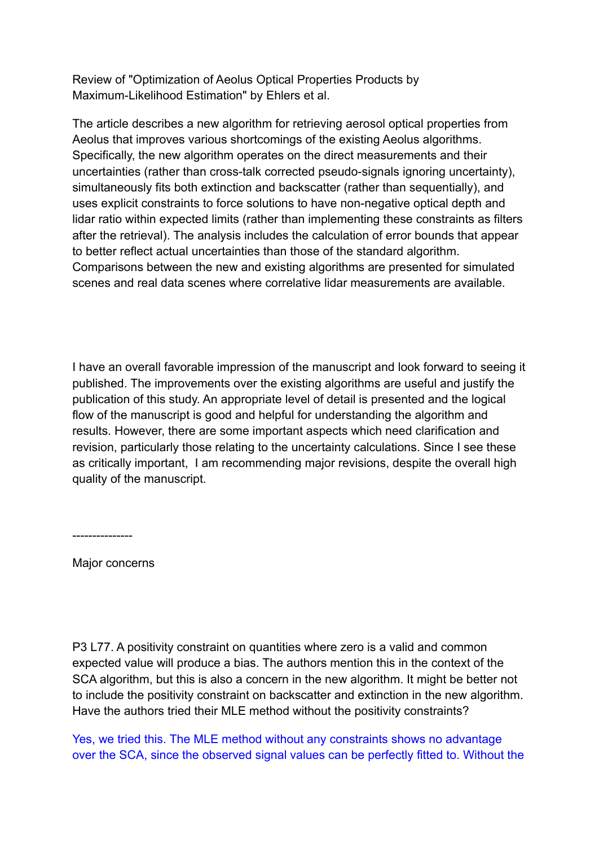Review of "Optimization of Aeolus Optical Properties Products by Maximum-Likelihood Estimation" by Ehlers et al.

The article describes a new algorithm for retrieving aerosol optical properties from Aeolus that improves various shortcomings of the existing Aeolus algorithms. Specifically, the new algorithm operates on the direct measurements and their uncertainties (rather than cross-talk corrected pseudo-signals ignoring uncertainty), simultaneously fits both extinction and backscatter (rather than sequentially), and uses explicit constraints to force solutions to have non-negative optical depth and lidar ratio within expected limits (rather than implementing these constraints as filters after the retrieval). The analysis includes the calculation of error bounds that appear to better reflect actual uncertainties than those of the standard algorithm. Comparisons between the new and existing algorithms are presented for simulated scenes and real data scenes where correlative lidar measurements are available.

I have an overall favorable impression of the manuscript and look forward to seeing it published. The improvements over the existing algorithms are useful and justify the publication of this study. An appropriate level of detail is presented and the logical flow of the manuscript is good and helpful for understanding the algorithm and results. However, there are some important aspects which need clarification and revision, particularly those relating to the uncertainty calculations. Since I see these as critically important, I am recommending major revisions, despite the overall high quality of the manuscript.

---------------

Major concerns

P3 L77. A positivity constraint on quantities where zero is a valid and common expected value will produce a bias. The authors mention this in the context of the SCA algorithm, but this is also a concern in the new algorithm. It might be better not to include the positivity constraint on backscatter and extinction in the new algorithm. Have the authors tried their MLE method without the positivity constraints?

Yes, we tried this. The MLE method without any constraints shows no advantage over the SCA, since the observed signal values can be perfectly fitted to. Without the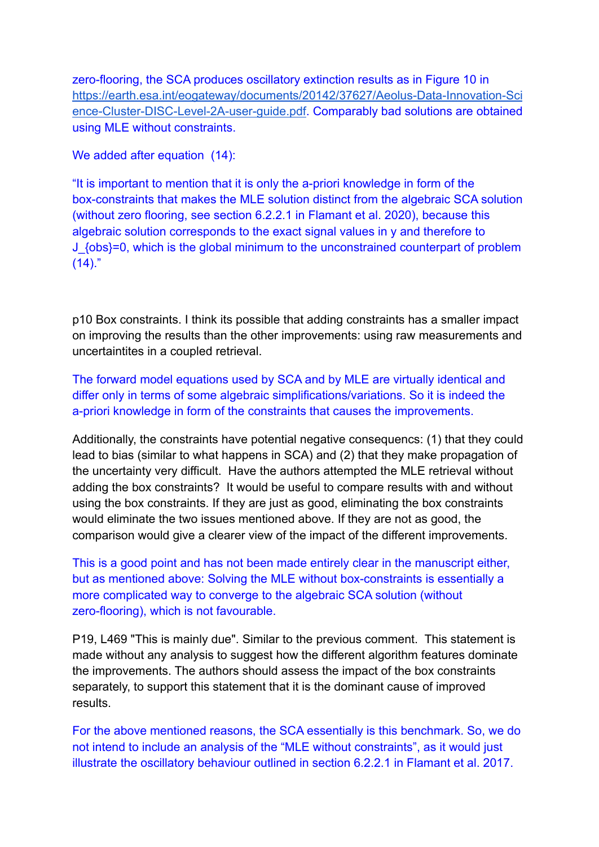zero-flooring, the SCA produces oscillatory extinction results as in Figure 10 in [https://earth.esa.int/eogateway/documents/20142/37627/Aeolus-Data-Innovation-Sci](https://earth.esa.int/eogateway/documents/20142/37627/Aeolus-Data-Innovation-Science-Cluster-DISC-Level-2A-user-guide.pdf) [ence-Cluster-DISC-Level-2A-user-guide.pdf.](https://earth.esa.int/eogateway/documents/20142/37627/Aeolus-Data-Innovation-Science-Cluster-DISC-Level-2A-user-guide.pdf) Comparably bad solutions are obtained using MLE without constraints.

We added after equation (14):

"It is important to mention that it is only the a-priori knowledge in form of the box-constraints that makes the MLE solution distinct from the algebraic SCA solution (without zero flooring, see section 6.2.2.1 in Flamant et al. 2020), because this algebraic solution corresponds to the exact signal values in y and therefore to J {obs}=0, which is the global minimum to the unconstrained counterpart of problem  $(14).$ "

p10 Box constraints. I think its possible that adding constraints has a smaller impact on improving the results than the other improvements: using raw measurements and uncertaintites in a coupled retrieval.

The forward model equations used by SCA and by MLE are virtually identical and differ only in terms of some algebraic simplifications/variations. So it is indeed the a-priori knowledge in form of the constraints that causes the improvements.

Additionally, the constraints have potential negative consequencs: (1) that they could lead to bias (similar to what happens in SCA) and (2) that they make propagation of the uncertainty very difficult. Have the authors attempted the MLE retrieval without adding the box constraints? It would be useful to compare results with and without using the box constraints. If they are just as good, eliminating the box constraints would eliminate the two issues mentioned above. If they are not as good, the comparison would give a clearer view of the impact of the different improvements.

This is a good point and has not been made entirely clear in the manuscript either, but as mentioned above: Solving the MLE without box-constraints is essentially a more complicated way to converge to the algebraic SCA solution (without zero-flooring), which is not favourable.

P19, L469 "This is mainly due". Similar to the previous comment. This statement is made without any analysis to suggest how the different algorithm features dominate the improvements. The authors should assess the impact of the box constraints separately, to support this statement that it is the dominant cause of improved results.

For the above mentioned reasons, the SCA essentially is this benchmark. So, we do not intend to include an analysis of the "MLE without constraints", as it would just illustrate the oscillatory behaviour outlined in section 6.2.2.1 in Flamant et al. 2017.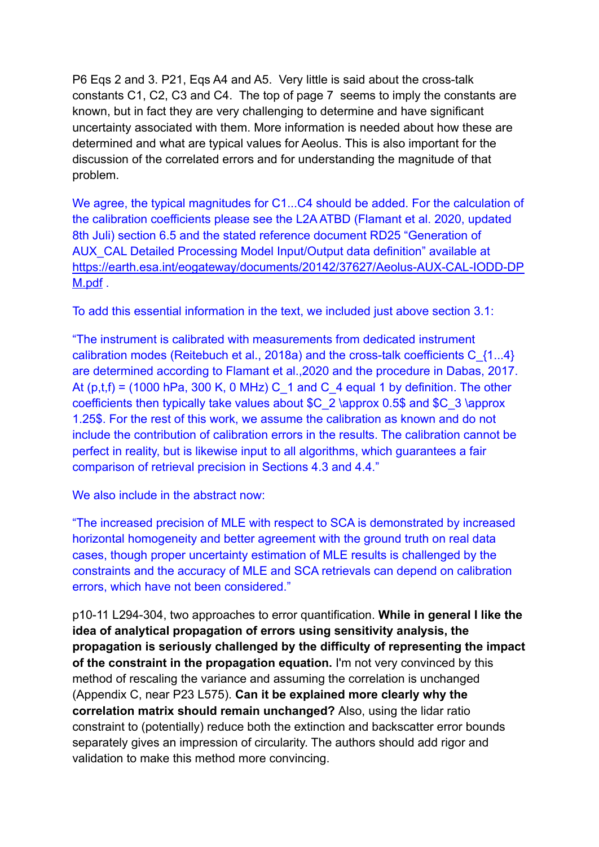P6 Eqs 2 and 3. P21, Eqs A4 and A5. Very little is said about the cross-talk constants C1, C2, C3 and C4. The top of page 7 seems to imply the constants are known, but in fact they are very challenging to determine and have significant uncertainty associated with them. More information is needed about how these are determined and what are typical values for Aeolus. This is also important for the discussion of the correlated errors and for understanding the magnitude of that problem.

We agree, the typical magnitudes for C1...C4 should be added. For the calculation of the calibration coefficients please see the L2A ATBD (Flamant et al. 2020, updated 8th Juli) section 6.5 and the stated reference document RD25 "Generation of AUX CAL Detailed Processing Model Input/Output data definition" available at [https://earth.esa.int/eogateway/documents/20142/37627/Aeolus-AUX-CAL-IODD-DP](https://earth.esa.int/eogateway/documents/20142/37627/Aeolus-AUX-CAL-IODD-DPM.pdf) [M.pdf](https://earth.esa.int/eogateway/documents/20142/37627/Aeolus-AUX-CAL-IODD-DPM.pdf) .

To add this essential information in the text, we included just above section 3.1:

"The instrument is calibrated with measurements from dedicated instrument calibration modes (Reitebuch et al., 2018a) and the cross-talk coefficients C\_{1...4} are determined according to Flamant et al.,2020 and the procedure in Dabas, 2017. At  $(p,t,f)$  = (1000 hPa, 300 K, 0 MHz) C\_1 and C\_4 equal 1 by definition. The other coefficients then typically take values about \$C\_2 \approx 0.5\$ and \$C\_3 \approx 1.25\$. For the rest of this work, we assume the calibration as known and do not include the contribution of calibration errors in the results. The calibration cannot be perfect in reality, but is likewise input to all algorithms, which guarantees a fair comparison of retrieval precision in Sections 4.3 and 4.4."

We also include in the abstract now:

"The increased precision of MLE with respect to SCA is demonstrated by increased horizontal homogeneity and better agreement with the ground truth on real data cases, though proper uncertainty estimation of MLE results is challenged by the constraints and the accuracy of MLE and SCA retrievals can depend on calibration errors, which have not been considered."

p10-11 L294-304, two approaches to error quantification. **While in general I like the idea of analytical propagation of errors using sensitivity analysis, the propagation is seriously challenged by the difficulty of representing the impact of the constraint in the propagation equation.** I'm not very convinced by this method of rescaling the variance and assuming the correlation is unchanged (Appendix C, near P23 L575). **Can it be explained more clearly why the correlation matrix should remain unchanged?** Also, using the lidar ratio constraint to (potentially) reduce both the extinction and backscatter error bounds separately gives an impression of circularity. The authors should add rigor and validation to make this method more convincing.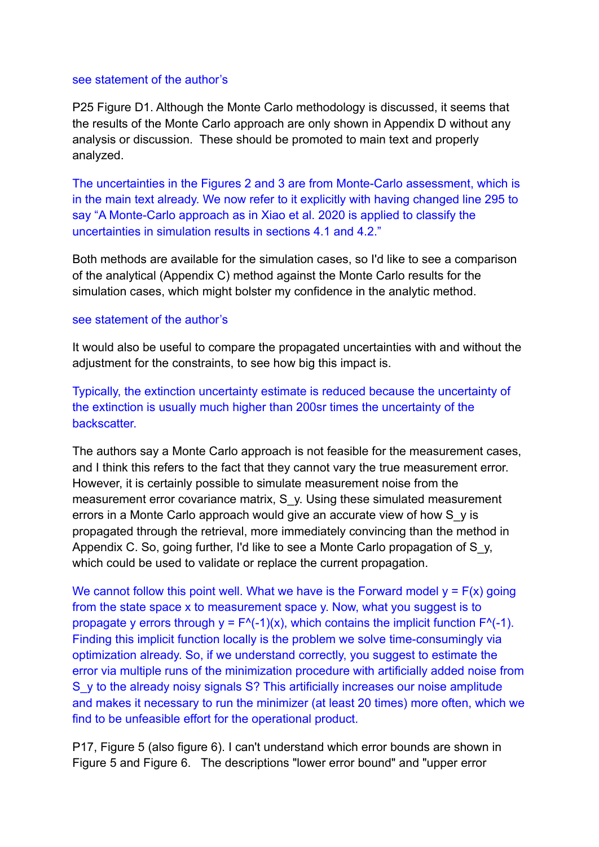#### see statement of the author's

P25 Figure D1. Although the Monte Carlo methodology is discussed, it seems that the results of the Monte Carlo approach are only shown in Appendix D without any analysis or discussion. These should be promoted to main text and properly analyzed.

The uncertainties in the Figures 2 and 3 are from Monte-Carlo assessment, which is in the main text already. We now refer to it explicitly with having changed line 295 to say "A Monte-Carlo approach as in Xiao et al. 2020 is applied to classify the uncertainties in simulation results in sections 4.1 and 4.2."

Both methods are available for the simulation cases, so I'd like to see a comparison of the analytical (Appendix C) method against the Monte Carlo results for the simulation cases, which might bolster my confidence in the analytic method.

#### see statement of the author's

It would also be useful to compare the propagated uncertainties with and without the adjustment for the constraints, to see how big this impact is.

Typically, the extinction uncertainty estimate is reduced because the uncertainty of the extinction is usually much higher than 200sr times the uncertainty of the backscatter.

The authors say a Monte Carlo approach is not feasible for the measurement cases, and I think this refers to the fact that they cannot vary the true measurement error. However, it is certainly possible to simulate measurement noise from the measurement error covariance matrix, S\_y. Using these simulated measurement errors in a Monte Carlo approach would give an accurate view of how S\_y is propagated through the retrieval, more immediately convincing than the method in Appendix C. So, going further, I'd like to see a Monte Carlo propagation of S\_y, which could be used to validate or replace the current propagation.

We cannot follow this point well. What we have is the Forward model  $y = F(x)$  going from the state space x to measurement space y. Now, what you suggest is to propagate y errors through  $y = F^{\wedge}(-1)(x)$ , which contains the implicit function  $F^{\wedge}(-1)$ . Finding this implicit function locally is the problem we solve time-consumingly via optimization already. So, if we understand correctly, you suggest to estimate the error via multiple runs of the minimization procedure with artificially added noise from S y to the already noisy signals S? This artificially increases our noise amplitude and makes it necessary to run the minimizer (at least 20 times) more often, which we find to be unfeasible effort for the operational product.

P17, Figure 5 (also figure 6). I can't understand which error bounds are shown in Figure 5 and Figure 6. The descriptions "lower error bound" and "upper error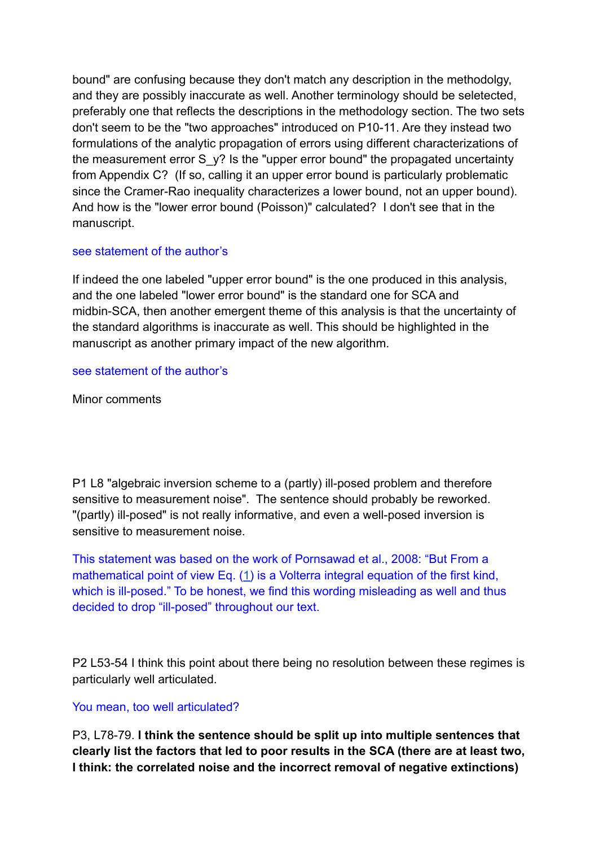bound" are confusing because they don't match any description in the methodolgy, and they are possibly inaccurate as well. Another terminology should be seletected, preferably one that reflects the descriptions in the methodology section. The two sets don't seem to be the "two approaches" introduced on P10-11. Are they instead two formulations of the analytic propagation of errors using different characterizations of the measurement error  $S_y$ ? Is the "upper error bound" the propagated uncertainty from Appendix C? (If so, calling it an upper error bound is particularly problematic since the Cramer-Rao inequality characterizes a lower bound, not an upper bound). And how is the "lower error bound (Poisson)" calculated? I don't see that in the manuscript.

## see statement of the author's

If indeed the one labeled "upper error bound" is the one produced in this analysis, and the one labeled "lower error bound" is the standard one for SCA and midbin-SCA, then another emergent theme of this analysis is that the uncertainty of the standard algorithms is inaccurate as well. This should be highlighted in the manuscript as another primary impact of the new algorithm.

### see statement of the author's

Minor comments

P1 L8 "algebraic inversion scheme to a (partly) ill-posed problem and therefore sensitive to measurement noise". The sentence should probably be reworked. "(partly) ill-posed" is not really informative, and even a well-posed inversion is sensitive to measurement noise.

This statement was based on the work of Pornsawad et al., 2008: "But From a mathematical point of view Eq. ([1\)](https://www-osapublishing-org.tudelft.idm.oclc.org/ao/fulltext.cfm?uri=ao-47-10-1649&id=156981#d1) is a Volterra integral equation of the first kind, which is ill-posed." To be honest, we find this wording misleading as well and thus decided to drop "ill-posed" throughout our text.

P2 L53-54 I think this point about there being no resolution between these regimes is particularly well articulated.

## You mean, too well articulated?

P3, L78-79. **I think the sentence should be split up into multiple sentences that clearly list the factors that led to poor results in the SCA (there are at least two, I think: the correlated noise and the incorrect removal of negative extinctions)**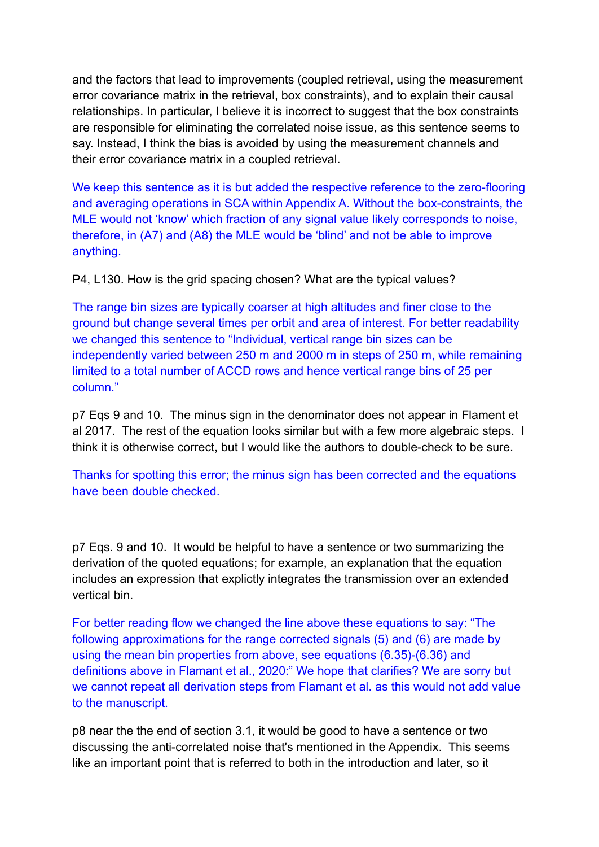and the factors that lead to improvements (coupled retrieval, using the measurement error covariance matrix in the retrieval, box constraints), and to explain their causal relationships. In particular, I believe it is incorrect to suggest that the box constraints are responsible for eliminating the correlated noise issue, as this sentence seems to say. Instead, I think the bias is avoided by using the measurement channels and their error covariance matrix in a coupled retrieval.

We keep this sentence as it is but added the respective reference to the zero-flooring and averaging operations in SCA within Appendix A. Without the box-constraints, the MLE would not 'know' which fraction of any signal value likely corresponds to noise, therefore, in (A7) and (A8) the MLE would be 'blind' and not be able to improve anything.

P4, L130. How is the grid spacing chosen? What are the typical values?

The range bin sizes are typically coarser at high altitudes and finer close to the ground but change several times per orbit and area of interest. For better readability we changed this sentence to "Individual, vertical range bin sizes can be independently varied between 250 m and 2000 m in steps of 250 m, while remaining limited to a total number of ACCD rows and hence vertical range bins of 25 per column."

p7 Eqs 9 and 10. The minus sign in the denominator does not appear in Flament et al 2017. The rest of the equation looks similar but with a few more algebraic steps. I think it is otherwise correct, but I would like the authors to double-check to be sure.

Thanks for spotting this error; the minus sign has been corrected and the equations have been double checked.

p7 Eqs. 9 and 10. It would be helpful to have a sentence or two summarizing the derivation of the quoted equations; for example, an explanation that the equation includes an expression that explictly integrates the transmission over an extended vertical bin.

For better reading flow we changed the line above these equations to say: "The following approximations for the range corrected signals (5) and (6) are made by using the mean bin properties from above, see equations (6.35)-(6.36) and definitions above in Flamant et al., 2020:" We hope that clarifies? We are sorry but we cannot repeat all derivation steps from Flamant et al. as this would not add value to the manuscript.

p8 near the the end of section 3.1, it would be good to have a sentence or two discussing the anti-correlated noise that's mentioned in the Appendix. This seems like an important point that is referred to both in the introduction and later, so it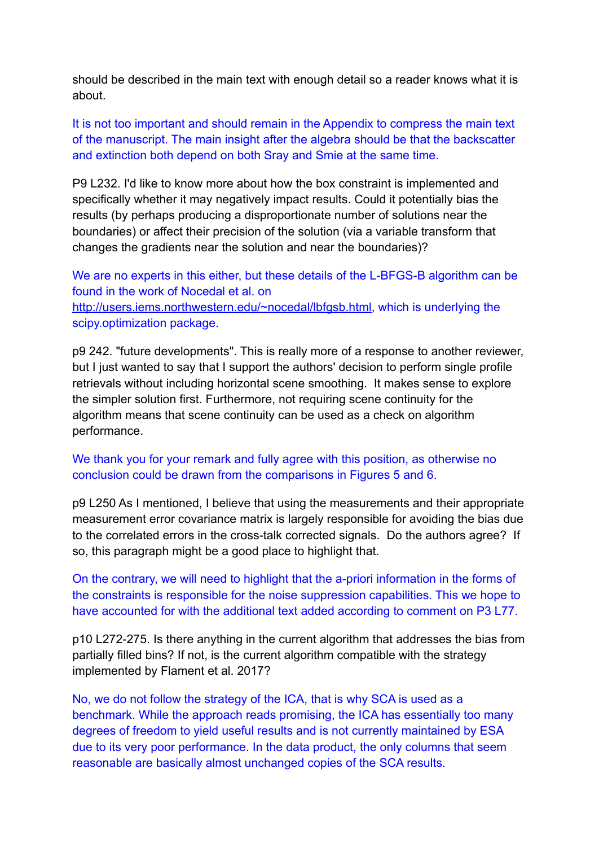should be described in the main text with enough detail so a reader knows what it is about.

It is not too important and should remain in the Appendix to compress the main text of the manuscript. The main insight after the algebra should be that the backscatter and extinction both depend on both Sray and Smie at the same time.

P9 L232. I'd like to know more about how the box constraint is implemented and specifically whether it may negatively impact results. Could it potentially bias the results (by perhaps producing a disproportionate number of solutions near the boundaries) or affect their precision of the solution (via a variable transform that changes the gradients near the solution and near the boundaries)?

We are no experts in this either, but these details of the L-BFGS-B algorithm can be found in the work of Nocedal et al. on [http://users.iems.northwestern.edu/~nocedal/lbfgsb.html,](http://users.iems.northwestern.edu/~nocedal/lbfgsb.html) which is underlying the scipy.optimization package.

p9 242. "future developments". This is really more of a response to another reviewer, but I just wanted to say that I support the authors' decision to perform single profile retrievals without including horizontal scene smoothing. It makes sense to explore the simpler solution first. Furthermore, not requiring scene continuity for the algorithm means that scene continuity can be used as a check on algorithm performance.

## We thank you for your remark and fully agree with this position, as otherwise no conclusion could be drawn from the comparisons in Figures 5 and 6.

p9 L250 As I mentioned, I believe that using the measurements and their appropriate measurement error covariance matrix is largely responsible for avoiding the bias due to the correlated errors in the cross-talk corrected signals. Do the authors agree? If so, this paragraph might be a good place to highlight that.

On the contrary, we will need to highlight that the a-priori information in the forms of the constraints is responsible for the noise suppression capabilities. This we hope to have accounted for with the additional text added according to comment on P3 L77.

p10 L272-275. Is there anything in the current algorithm that addresses the bias from partially filled bins? If not, is the current algorithm compatible with the strategy implemented by Flament et al. 2017?

No, we do not follow the strategy of the ICA, that is why SCA is used as a benchmark. While the approach reads promising, the ICA has essentially too many degrees of freedom to yield useful results and is not currently maintained by ESA due to its very poor performance. In the data product, the only columns that seem reasonable are basically almost unchanged copies of the SCA results.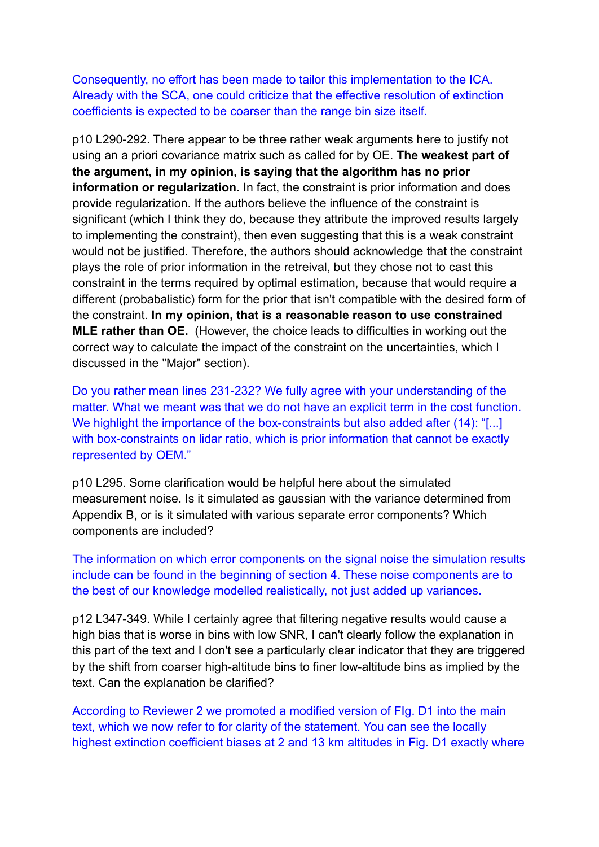Consequently, no effort has been made to tailor this implementation to the ICA. Already with the SCA, one could criticize that the effective resolution of extinction coefficients is expected to be coarser than the range bin size itself.

p10 L290-292. There appear to be three rather weak arguments here to justify not using an a priori covariance matrix such as called for by OE. **The weakest part of the argument, in my opinion, is saying that the algorithm has no prior information or regularization.** In fact, the constraint is prior information and does provide regularization. If the authors believe the influence of the constraint is significant (which I think they do, because they attribute the improved results largely to implementing the constraint), then even suggesting that this is a weak constraint would not be justified. Therefore, the authors should acknowledge that the constraint plays the role of prior information in the retreival, but they chose not to cast this constraint in the terms required by optimal estimation, because that would require a different (probabalistic) form for the prior that isn't compatible with the desired form of the constraint. **In my opinion, that is a reasonable reason to use constrained MLE rather than OE.** (However, the choice leads to difficulties in working out the correct way to calculate the impact of the constraint on the uncertainties, which I discussed in the "Major" section).

Do you rather mean lines 231-232? We fully agree with your understanding of the matter. What we meant was that we do not have an explicit term in the cost function. We highlight the importance of the box-constraints but also added after (14): "[...] with box-constraints on lidar ratio, which is prior information that cannot be exactly represented by OEM."

p10 L295. Some clarification would be helpful here about the simulated measurement noise. Is it simulated as gaussian with the variance determined from Appendix B, or is it simulated with various separate error components? Which components are included?

The information on which error components on the signal noise the simulation results include can be found in the beginning of section 4. These noise components are to the best of our knowledge modelled realistically, not just added up variances.

p12 L347-349. While I certainly agree that filtering negative results would cause a high bias that is worse in bins with low SNR, I can't clearly follow the explanation in this part of the text and I don't see a particularly clear indicator that they are triggered by the shift from coarser high-altitude bins to finer low-altitude bins as implied by the text. Can the explanation be clarified?

According to Reviewer 2 we promoted a modified version of FIg. D1 into the main text, which we now refer to for clarity of the statement. You can see the locally highest extinction coefficient biases at 2 and 13 km altitudes in Fig. D1 exactly where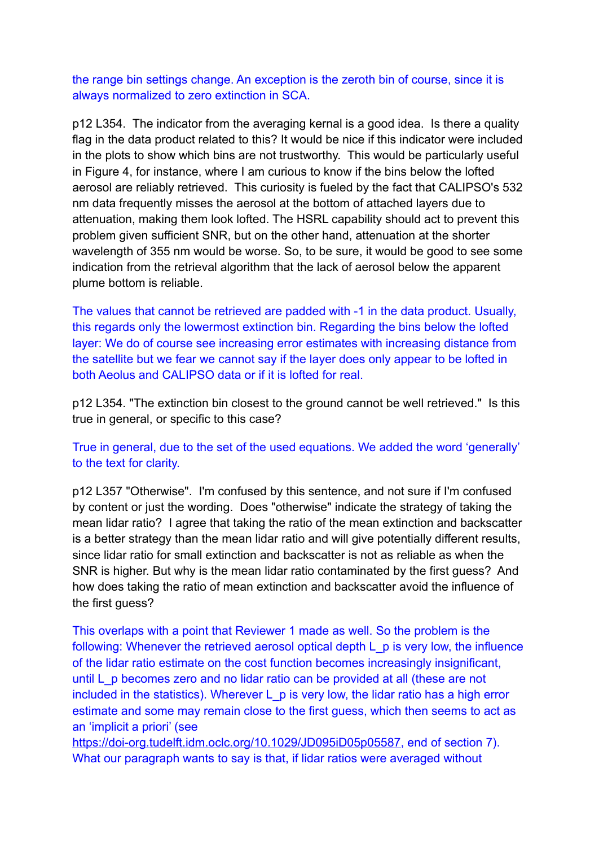the range bin settings change. An exception is the zeroth bin of course, since it is always normalized to zero extinction in SCA.

p12 L354. The indicator from the averaging kernal is a good idea. Is there a quality flag in the data product related to this? It would be nice if this indicator were included in the plots to show which bins are not trustworthy. This would be particularly useful in Figure 4, for instance, where I am curious to know if the bins below the lofted aerosol are reliably retrieved. This curiosity is fueled by the fact that CALIPSO's 532 nm data frequently misses the aerosol at the bottom of attached layers due to attenuation, making them look lofted. The HSRL capability should act to prevent this problem given sufficient SNR, but on the other hand, attenuation at the shorter wavelength of 355 nm would be worse. So, to be sure, it would be good to see some indication from the retrieval algorithm that the lack of aerosol below the apparent plume bottom is reliable.

The values that cannot be retrieved are padded with -1 in the data product. Usually, this regards only the lowermost extinction bin. Regarding the bins below the lofted layer: We do of course see increasing error estimates with increasing distance from the satellite but we fear we cannot say if the layer does only appear to be lofted in both Aeolus and CALIPSO data or if it is lofted for real.

p12 L354. "The extinction bin closest to the ground cannot be well retrieved." Is this true in general, or specific to this case?

True in general, due to the set of the used equations. We added the word 'generally' to the text for clarity.

p12 L357 "Otherwise". I'm confused by this sentence, and not sure if I'm confused by content or just the wording. Does "otherwise" indicate the strategy of taking the mean lidar ratio? I agree that taking the ratio of the mean extinction and backscatter is a better strategy than the mean lidar ratio and will give potentially different results, since lidar ratio for small extinction and backscatter is not as reliable as when the SNR is higher. But why is the mean lidar ratio contaminated by the first guess? And how does taking the ratio of mean extinction and backscatter avoid the influence of the first guess?

This overlaps with a point that Reviewer 1 made as well. So the problem is the following: Whenever the retrieved aerosol optical depth L p is very low, the influence of the lidar ratio estimate on the cost function becomes increasingly insignificant, until L p becomes zero and no lidar ratio can be provided at all (these are not included in the statistics). Wherever  $L$  p is very low, the lidar ratio has a high error estimate and some may remain close to the first guess, which then seems to act as an 'implicit a priori' (see

[https://doi-org.tudelft.idm.oclc.org/10.1029/JD095iD05p05587,](https://doi-org.tudelft.idm.oclc.org/10.1029/JD095iD05p05587) end of section 7). What our paragraph wants to say is that, if lidar ratios were averaged without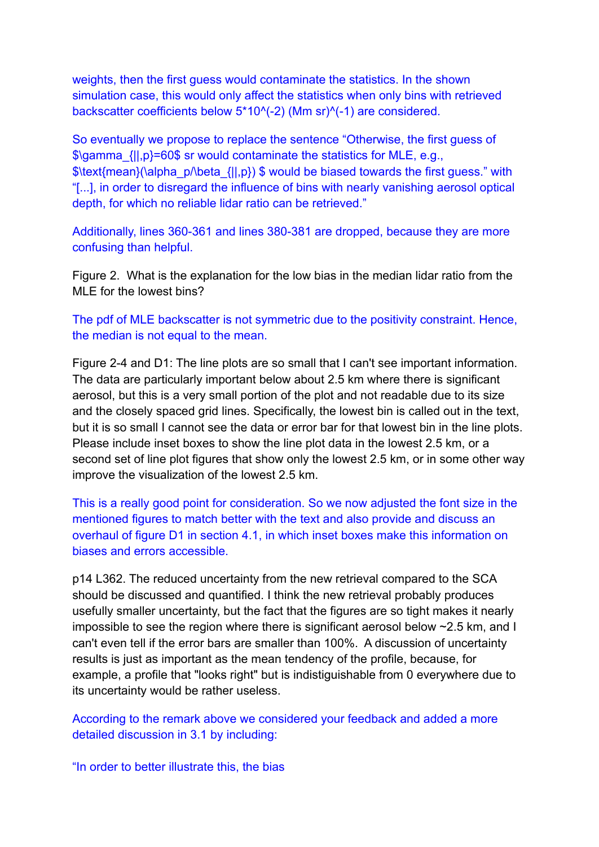weights, then the first guess would contaminate the statistics. In the shown simulation case, this would only affect the statistics when only bins with retrieved backscatter coefficients below 5\*10^(-2) (Mm sr)^(-1) are considered.

So eventually we propose to replace the sentence "Otherwise, the first guess of \$\gamma\_{||,p}=60\$ sr would contaminate the statistics for MLE, e.g., \$\text{mean}(\alpha\_p/\beta\_{||,p}) \$ would be biased towards the first guess." with "[...], in order to disregard the influence of bins with nearly vanishing aerosol optical depth, for which no reliable lidar ratio can be retrieved."

Additionally, lines 360-361 and lines 380-381 are dropped, because they are more confusing than helpful.

Figure 2. What is the explanation for the low bias in the median lidar ratio from the MLE for the lowest bins?

The pdf of MLE backscatter is not symmetric due to the positivity constraint. Hence, the median is not equal to the mean.

Figure 2-4 and D1: The line plots are so small that I can't see important information. The data are particularly important below about 2.5 km where there is significant aerosol, but this is a very small portion of the plot and not readable due to its size and the closely spaced grid lines. Specifically, the lowest bin is called out in the text, but it is so small I cannot see the data or error bar for that lowest bin in the line plots. Please include inset boxes to show the line plot data in the lowest 2.5 km, or a second set of line plot figures that show only the lowest 2.5 km, or in some other way improve the visualization of the lowest 2.5 km.

This is a really good point for consideration. So we now adjusted the font size in the mentioned figures to match better with the text and also provide and discuss an overhaul of figure D1 in section 4.1, in which inset boxes make this information on biases and errors accessible.

p14 L362. The reduced uncertainty from the new retrieval compared to the SCA should be discussed and quantified. I think the new retrieval probably produces usefully smaller uncertainty, but the fact that the figures are so tight makes it nearly impossible to see the region where there is significant aerosol below ~2.5 km, and I can't even tell if the error bars are smaller than 100%. A discussion of uncertainty results is just as important as the mean tendency of the profile, because, for example, a profile that "looks right" but is indistiguishable from 0 everywhere due to its uncertainty would be rather useless.

According to the remark above we considered your feedback and added a more detailed discussion in 3.1 by including:

"In order to better illustrate this, the bias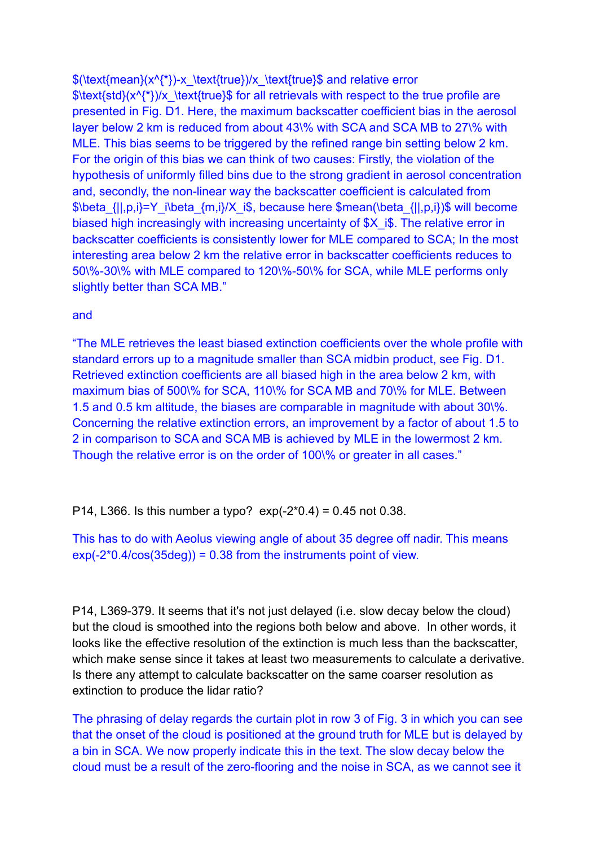\$(\text{mean}(x^{\*})-x\_\text{true})/x\_\text{true}\$ and relative error  $\text{Stext}\left\{std\right\}(x^{\prime\prime}|\text{'x\text{'text}\left\{true\right\}}\$  for all retrievals with respect to the true profile are presented in Fig. D1. Here, the maximum backscatter coefficient bias in the aerosol layer below 2 km is reduced from about 43\% with SCA and SCA MB to 27\% with MLE. This bias seems to be triggered by the refined range bin setting below 2 km. For the origin of this bias we can think of two causes: Firstly, the violation of the hypothesis of uniformly filled bins due to the strong gradient in aerosol concentration and, secondly, the non-linear way the backscatter coefficient is calculated from  $\theta_{||,p,i}=Y$  ilhota  $\{\text{m},i\}/X$  is, because here smean(\beta  $\{\text{||},p,i\}\$  will become biased high increasingly with increasing uncertainty of  $X$  is. The relative error in backscatter coefficients is consistently lower for MLE compared to SCA; In the most interesting area below 2 km the relative error in backscatter coefficients reduces to 50\%-30\% with MLE compared to 120\%-50\% for SCA, while MLE performs only slightly better than SCA MB."

### and

"The MLE retrieves the least biased extinction coefficients over the whole profile with standard errors up to a magnitude smaller than SCA midbin product, see Fig. D1. Retrieved extinction coefficients are all biased high in the area below 2 km, with maximum bias of 500\% for SCA, 110\% for SCA MB and 70\% for MLE. Between 1.5 and 0.5 km altitude, the biases are comparable in magnitude with about 30\%. Concerning the relative extinction errors, an improvement by a factor of about 1.5 to 2 in comparison to SCA and SCA MB is achieved by MLE in the lowermost 2 km. Though the relative error is on the order of 100\% or greater in all cases."

P14, L366. Is this number a typo?  $exp(-2*0.4) = 0.45$  not 0.38.

This has to do with Aeolus viewing angle of about 35 degree off nadir. This means  $exp(-2*0.4/\cos(35deg)) = 0.38$  from the instruments point of view.

P14, L369-379. It seems that it's not just delayed (i.e. slow decay below the cloud) but the cloud is smoothed into the regions both below and above. In other words, it looks like the effective resolution of the extinction is much less than the backscatter, which make sense since it takes at least two measurements to calculate a derivative. Is there any attempt to calculate backscatter on the same coarser resolution as extinction to produce the lidar ratio?

The phrasing of delay regards the curtain plot in row 3 of Fig. 3 in which you can see that the onset of the cloud is positioned at the ground truth for MLE but is delayed by a bin in SCA. We now properly indicate this in the text. The slow decay below the cloud must be a result of the zero-flooring and the noise in SCA, as we cannot see it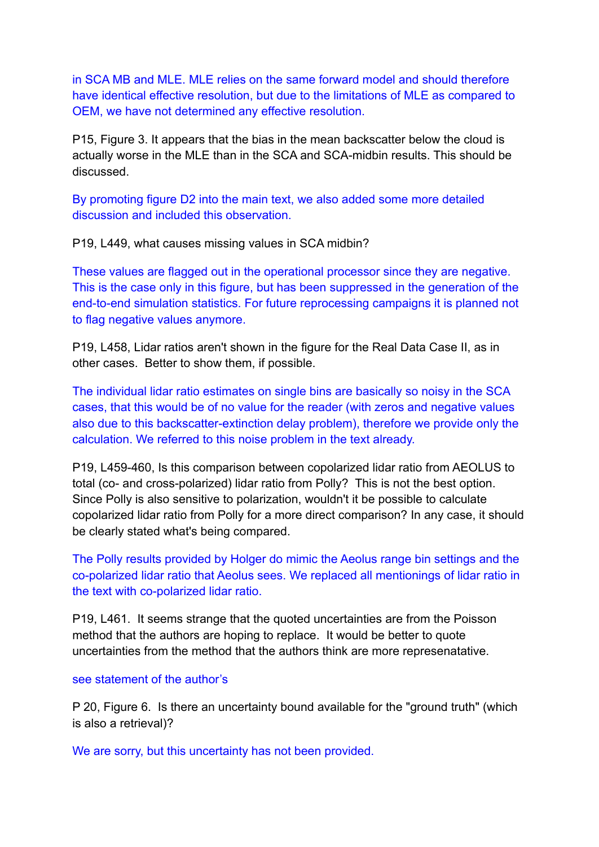in SCA MB and MLE. MLE relies on the same forward model and should therefore have identical effective resolution, but due to the limitations of MLE as compared to OEM, we have not determined any effective resolution.

P15, Figure 3. It appears that the bias in the mean backscatter below the cloud is actually worse in the MLE than in the SCA and SCA-midbin results. This should be discussed.

By promoting figure D2 into the main text, we also added some more detailed discussion and included this observation.

P19, L449, what causes missing values in SCA midbin?

These values are flagged out in the operational processor since they are negative. This is the case only in this figure, but has been suppressed in the generation of the end-to-end simulation statistics. For future reprocessing campaigns it is planned not to flag negative values anymore.

P19, L458, Lidar ratios aren't shown in the figure for the Real Data Case II, as in other cases. Better to show them, if possible.

The individual lidar ratio estimates on single bins are basically so noisy in the SCA cases, that this would be of no value for the reader (with zeros and negative values also due to this backscatter-extinction delay problem), therefore we provide only the calculation. We referred to this noise problem in the text already.

P19, L459-460, Is this comparison between copolarized lidar ratio from AEOLUS to total (co- and cross-polarized) lidar ratio from Polly? This is not the best option. Since Polly is also sensitive to polarization, wouldn't it be possible to calculate copolarized lidar ratio from Polly for a more direct comparison? In any case, it should be clearly stated what's being compared.

The Polly results provided by Holger do mimic the Aeolus range bin settings and the co-polarized lidar ratio that Aeolus sees. We replaced all mentionings of lidar ratio in the text with co-polarized lidar ratio.

P19, L461. It seems strange that the quoted uncertainties are from the Poisson method that the authors are hoping to replace. It would be better to quote uncertainties from the method that the authors think are more represenatative.

### see statement of the author's

P 20, Figure 6. Is there an uncertainty bound available for the "ground truth" (which is also a retrieval)?

We are sorry, but this uncertainty has not been provided.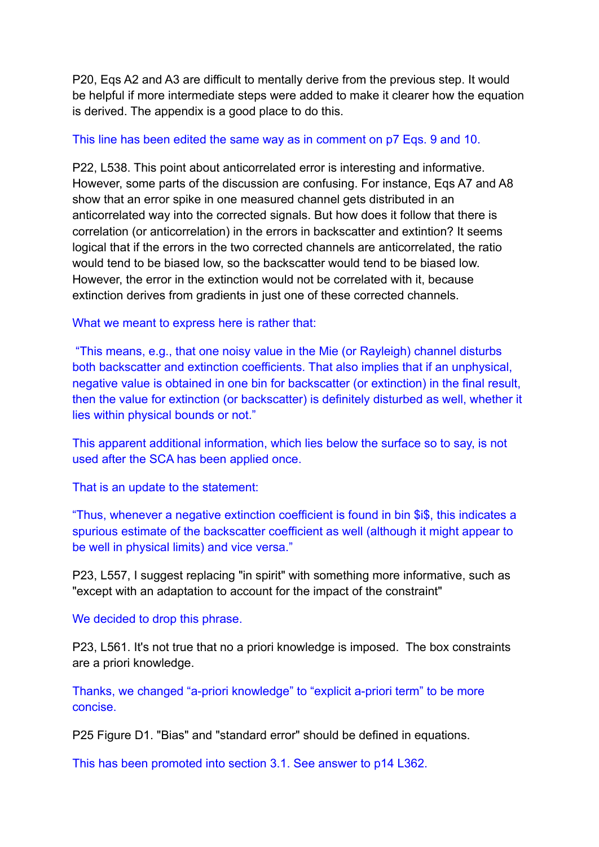P20, Eqs A2 and A3 are difficult to mentally derive from the previous step. It would be helpful if more intermediate steps were added to make it clearer how the equation is derived. The appendix is a good place to do this.

### This line has been edited the same way as in comment on p7 Eqs. 9 and 10.

P22, L538. This point about anticorrelated error is interesting and informative. However, some parts of the discussion are confusing. For instance, Eqs A7 and A8 show that an error spike in one measured channel gets distributed in an anticorrelated way into the corrected signals. But how does it follow that there is correlation (or anticorrelation) in the errors in backscatter and extintion? It seems logical that if the errors in the two corrected channels are anticorrelated, the ratio would tend to be biased low, so the backscatter would tend to be biased low. However, the error in the extinction would not be correlated with it, because extinction derives from gradients in just one of these corrected channels.

### What we meant to express here is rather that:

"This means, e.g., that one noisy value in the Mie (or Rayleigh) channel disturbs both backscatter and extinction coefficients. That also implies that if an unphysical, negative value is obtained in one bin for backscatter (or extinction) in the final result, then the value for extinction (or backscatter) is definitely disturbed as well, whether it lies within physical bounds or not."

This apparent additional information, which lies below the surface so to say, is not used after the SCA has been applied once.

That is an update to the statement:

"Thus, whenever a negative extinction coefficient is found in bin \$i\$, this indicates a spurious estimate of the backscatter coefficient as well (although it might appear to be well in physical limits) and vice versa."

P23, L557, I suggest replacing "in spirit" with something more informative, such as "except with an adaptation to account for the impact of the constraint"

#### We decided to drop this phrase.

P23, L561. It's not true that no a priori knowledge is imposed. The box constraints are a priori knowledge.

Thanks, we changed "a-priori knowledge" to "explicit a-priori term" to be more concise.

P25 Figure D1. "Bias" and "standard error" should be defined in equations.

This has been promoted into section 3.1. See answer to p14 L362.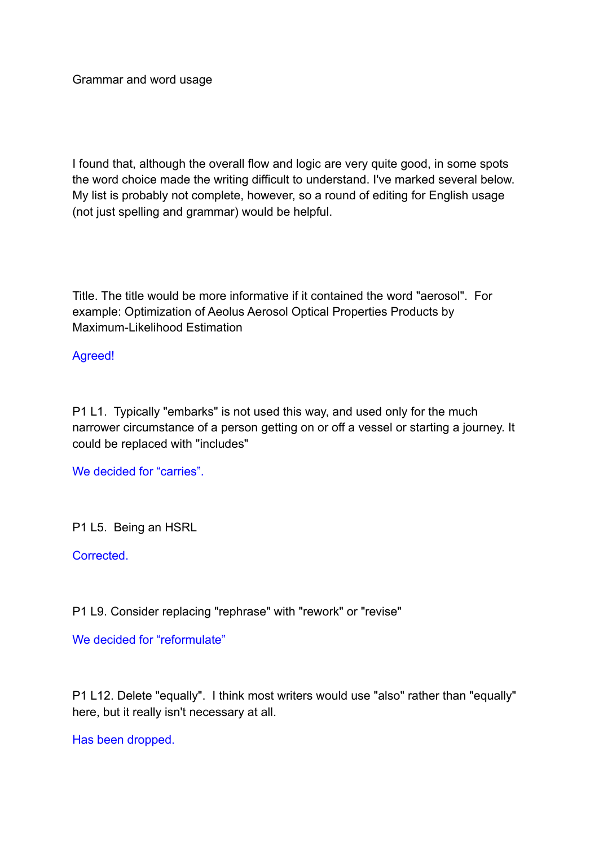Grammar and word usage

I found that, although the overall flow and logic are very quite good, in some spots the word choice made the writing difficult to understand. I've marked several below. My list is probably not complete, however, so a round of editing for English usage (not just spelling and grammar) would be helpful.

Title. The title would be more informative if it contained the word "aerosol". For example: Optimization of Aeolus Aerosol Optical Properties Products by Maximum-Likelihood Estimation

## Agreed!

P1 L1. Typically "embarks" is not used this way, and used only for the much narrower circumstance of a person getting on or off a vessel or starting a journey. It could be replaced with "includes"

We decided for "carries"

P1 L5. Being an HSRL

Corrected.

P1 L9. Consider replacing "rephrase" with "rework" or "revise"

We decided for "reformulate"

P1 L12. Delete "equally". I think most writers would use "also" rather than "equally" here, but it really isn't necessary at all.

Has been dropped.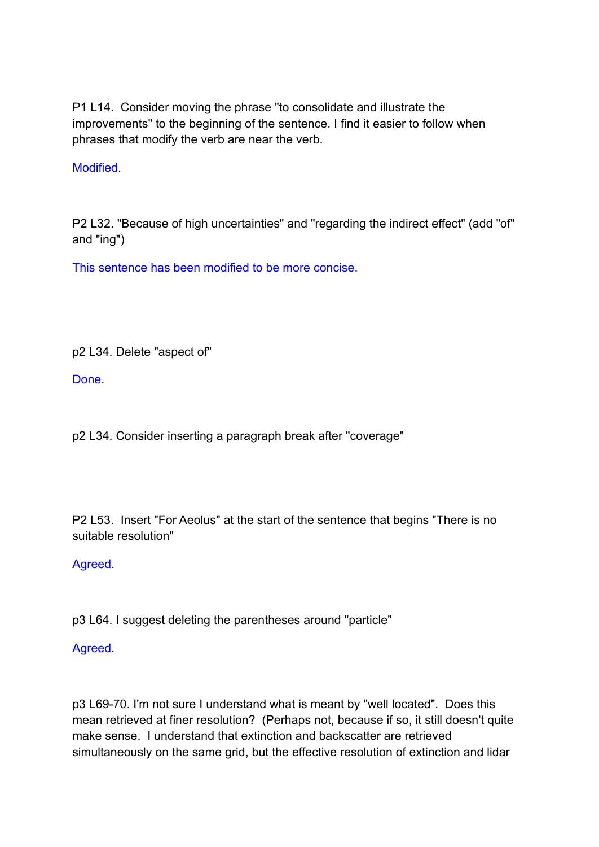P1 L14. Consider moving the phrase "to consolidate and illustrate the improvements" to the beginning of the sentence. I find it easier to follow when phrases that modify the verb are near the verb.

Modified.

P2 L32. "Because of high uncertainties" and "regarding the indirect effect" (add "of" and "ing")

This sentence has been modified to be more concise.

p2 L34. Delete "aspect of"

Done.

p2 L34. Consider inserting a paragraph break after "coverage"

P2 L53. Insert "For Aeolus" at the start of the sentence that begins "There is no suitable resolution"

Agreed.

p3 L64. I suggest deleting the parentheses around "particle"

Agreed.

p3 L69-70. I'm not sure I understand what is meant by "well located". Does this mean retrieved at finer resolution? (Perhaps not, because if so, it still doesn't quite make sense. I understand that extinction and backscatter are retrieved simultaneously on the same grid, but the effective resolution of extinction and lidar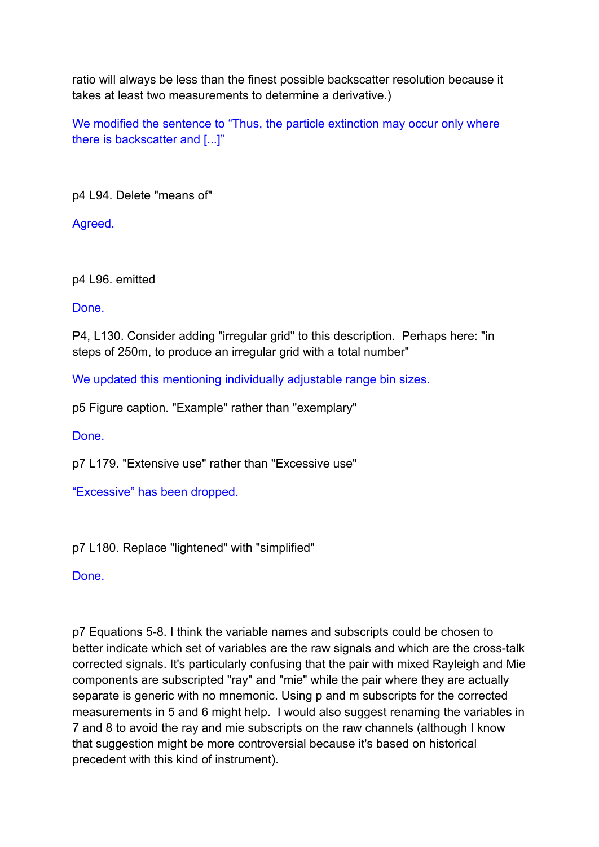ratio will always be less than the finest possible backscatter resolution because it takes at least two measurements to determine a derivative.)

We modified the sentence to "Thus, the particle extinction may occur only where there is backscatter and [...]"

p4 L94. Delete "means of"

Agreed.

p4 L96. emitted

Done.

P4, L130. Consider adding "irregular grid" to this description. Perhaps here: "in steps of 250m, to produce an irregular grid with a total number"

We updated this mentioning individually adjustable range bin sizes.

p5 Figure caption. "Example" rather than "exemplary"

Done.

p7 L179. "Extensive use" rather than "Excessive use"

"Excessive" has been dropped.

p7 L180. Replace "lightened" with "simplified"

Done.

p7 Equations 5-8. I think the variable names and subscripts could be chosen to better indicate which set of variables are the raw signals and which are the cross-talk corrected signals. It's particularly confusing that the pair with mixed Rayleigh and Mie components are subscripted "ray" and "mie" while the pair where they are actually separate is generic with no mnemonic. Using p and m subscripts for the corrected measurements in 5 and 6 might help. I would also suggest renaming the variables in 7 and 8 to avoid the ray and mie subscripts on the raw channels (although I know that suggestion might be more controversial because it's based on historical precedent with this kind of instrument).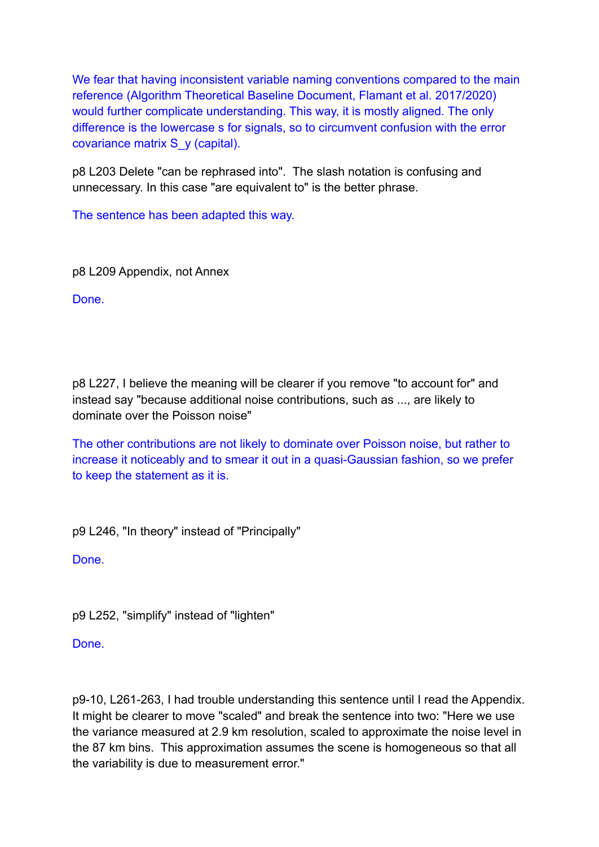We fear that having inconsistent variable naming conventions compared to the main reference (Algorithm Theoretical Baseline Document, Flamant et al. 2017/2020) would further complicate understanding. This way, it is mostly aligned. The only difference is the lowercase s for signals, so to circumvent confusion with the error covariance matrix S\_y (capital).

p8 L203 Delete "can be rephrased into". The slash notation is confusing and unnecessary. In this case "are equivalent to" is the better phrase.

The sentence has been adapted this way.

p8 L209 Appendix, not Annex

Done.

p8 L227, I believe the meaning will be clearer if you remove "to account for" and instead say "because additional noise contributions, such as ..., are likely to dominate over the Poisson noise"

The other contributions are not likely to dominate over Poisson noise, but rather to increase it noticeably and to smear it out in a quasi-Gaussian fashion, so we prefer to keep the statement as it is.

p9 L246, "In theory" instead of "Principally"

Done.

p9 L252, "simplify" instead of "lighten"

Done.

p9-10, L261-263, I had trouble understanding this sentence until I read the Appendix. It might be clearer to move "scaled" and break the sentence into two: "Here we use the variance measured at 2.9 km resolution, scaled to approximate the noise level in the 87 km bins. This approximation assumes the scene is homogeneous so that all the variability is due to measurement error."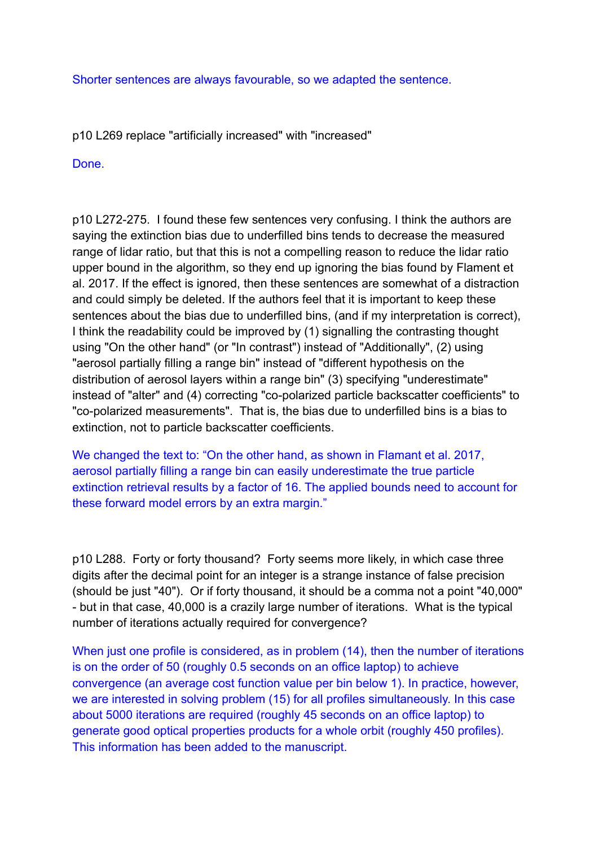Shorter sentences are always favourable, so we adapted the sentence.

p10 L269 replace "artificially increased" with "increased"

## Done.

p10 L272-275. I found these few sentences very confusing. I think the authors are saying the extinction bias due to underfilled bins tends to decrease the measured range of lidar ratio, but that this is not a compelling reason to reduce the lidar ratio upper bound in the algorithm, so they end up ignoring the bias found by Flament et al. 2017. If the effect is ignored, then these sentences are somewhat of a distraction and could simply be deleted. If the authors feel that it is important to keep these sentences about the bias due to underfilled bins, (and if my interpretation is correct), I think the readability could be improved by (1) signalling the contrasting thought using "On the other hand" (or "In contrast") instead of "Additionally", (2) using "aerosol partially filling a range bin" instead of "different hypothesis on the distribution of aerosol layers within a range bin" (3) specifying "underestimate" instead of "alter" and (4) correcting "co-polarized particle backscatter coefficients" to "co-polarized measurements". That is, the bias due to underfilled bins is a bias to extinction, not to particle backscatter coefficients.

We changed the text to: "On the other hand, as shown in Flamant et al. 2017, aerosol partially filling a range bin can easily underestimate the true particle extinction retrieval results by a factor of 16. The applied bounds need to account for these forward model errors by an extra margin."

p10 L288. Forty or forty thousand? Forty seems more likely, in which case three digits after the decimal point for an integer is a strange instance of false precision (should be just "40"). Or if forty thousand, it should be a comma not a point "40,000" - but in that case, 40,000 is a crazily large number of iterations. What is the typical number of iterations actually required for convergence?

When just one profile is considered, as in problem (14), then the number of iterations is on the order of 50 (roughly 0.5 seconds on an office laptop) to achieve convergence (an average cost function value per bin below 1). In practice, however, we are interested in solving problem (15) for all profiles simultaneously. In this case about 5000 iterations are required (roughly 45 seconds on an office laptop) to generate good optical properties products for a whole orbit (roughly 450 profiles). This information has been added to the manuscript.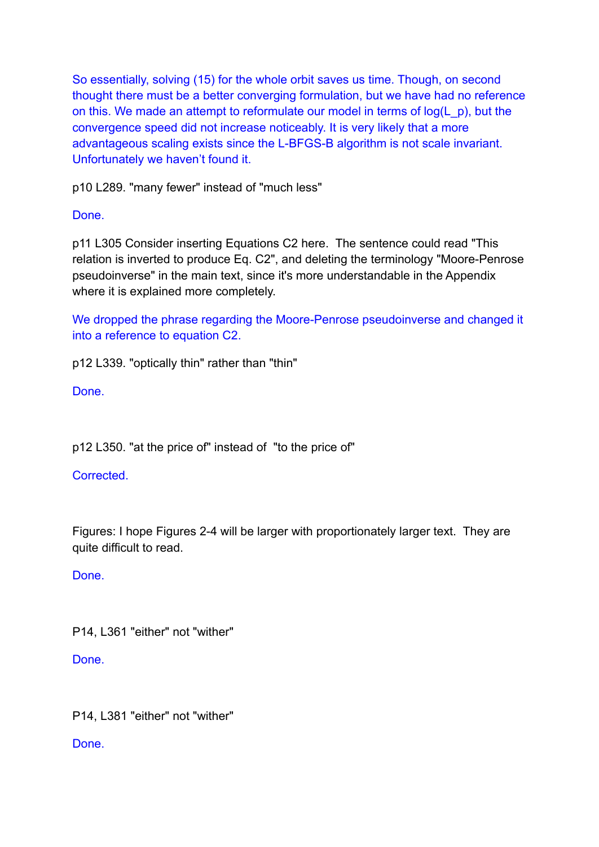So essentially, solving (15) for the whole orbit saves us time. Though, on second thought there must be a better converging formulation, but we have had no reference on this. We made an attempt to reformulate our model in terms of  $log(L\,p)$ , but the convergence speed did not increase noticeably. It is very likely that a more advantageous scaling exists since the L-BFGS-B algorithm is not scale invariant. Unfortunately we haven't found it.

p10 L289. "many fewer" instead of "much less"

Done.

p11 L305 Consider inserting Equations C2 here. The sentence could read "This relation is inverted to produce Eq. C2", and deleting the terminology "Moore-Penrose pseudoinverse" in the main text, since it's more understandable in the Appendix where it is explained more completely.

We dropped the phrase regarding the Moore-Penrose pseudoinverse and changed it into a reference to equation C2.

p12 L339. "optically thin" rather than "thin"

Done.

p12 L350. "at the price of" instead of "to the price of"

Corrected.

Figures: I hope Figures 2-4 will be larger with proportionately larger text. They are quite difficult to read.

# Done.

P14, L361 "either" not "wither"

Done.

P14, L381 "either" not "wither"

Done.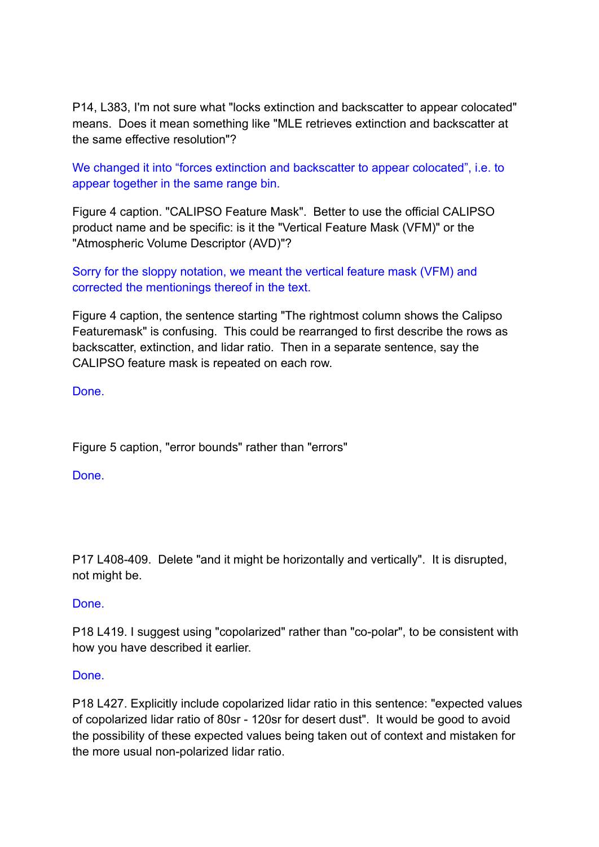P14, L383, I'm not sure what "locks extinction and backscatter to appear colocated" means. Does it mean something like "MLE retrieves extinction and backscatter at the same effective resolution"?

We changed it into "forces extinction and backscatter to appear colocated", i.e. to appear together in the same range bin.

Figure 4 caption. "CALIPSO Feature Mask". Better to use the official CALIPSO product name and be specific: is it the "Vertical Feature Mask (VFM)" or the "Atmospheric Volume Descriptor (AVD)"?

Sorry for the sloppy notation, we meant the vertical feature mask (VFM) and corrected the mentionings thereof in the text.

Figure 4 caption, the sentence starting "The rightmost column shows the Calipso Featuremask" is confusing. This could be rearranged to first describe the rows as backscatter, extinction, and lidar ratio. Then in a separate sentence, say the CALIPSO feature mask is repeated on each row.

Done.

Figure 5 caption, "error bounds" rather than "errors"

Done.

P17 L408-409. Delete "and it might be horizontally and vertically". It is disrupted, not might be.

## Done.

P18 L419. I suggest using "copolarized" rather than "co-polar", to be consistent with how you have described it earlier.

## Done.

P18 L427. Explicitly include copolarized lidar ratio in this sentence: "expected values of copolarized lidar ratio of 80sr - 120sr for desert dust". It would be good to avoid the possibility of these expected values being taken out of context and mistaken for the more usual non-polarized lidar ratio.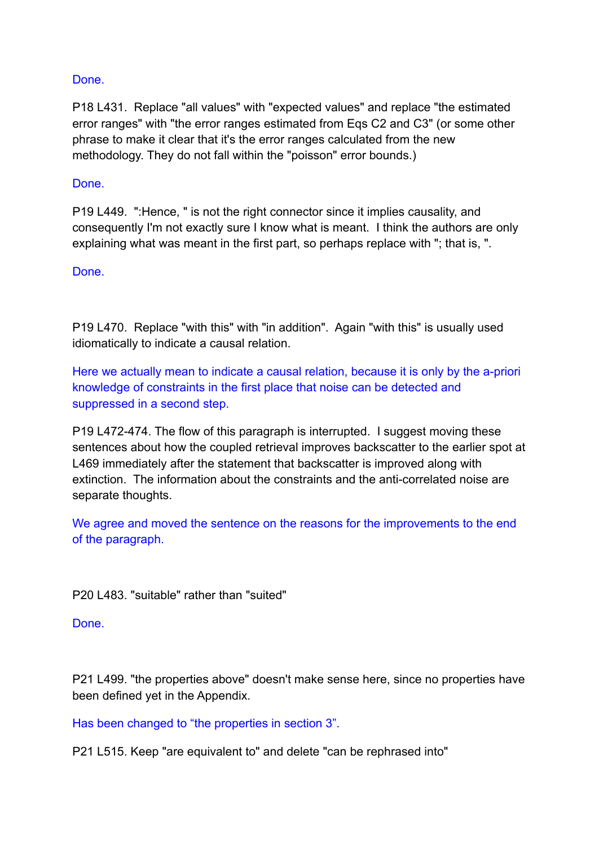## Done.

P18 L431. Replace "all values" with "expected values" and replace "the estimated error ranges" with "the error ranges estimated from Eqs C2 and C3" (or some other phrase to make it clear that it's the error ranges calculated from the new methodology. They do not fall within the "poisson" error bounds.)

## Done.

P19 L449. ":Hence, " is not the right connector since it implies causality, and consequently I'm not exactly sure I know what is meant. I think the authors are only explaining what was meant in the first part, so perhaps replace with "; that is, ".

## Done.

P19 L470. Replace "with this" with "in addition". Again "with this" is usually used idiomatically to indicate a causal relation.

Here we actually mean to indicate a causal relation, because it is only by the a-priori knowledge of constraints in the first place that noise can be detected and suppressed in a second step.

P19 L472-474. The flow of this paragraph is interrupted. I suggest moving these sentences about how the coupled retrieval improves backscatter to the earlier spot at L469 immediately after the statement that backscatter is improved along with extinction. The information about the constraints and the anti-correlated noise are separate thoughts.

We agree and moved the sentence on the reasons for the improvements to the end of the paragraph.

P20 L483. "suitable" rather than "suited"

Done.

P21 L499. "the properties above" doesn't make sense here, since no properties have been defined yet in the Appendix.

Has been changed to "the properties in section 3".

P21 L515. Keep "are equivalent to" and delete "can be rephrased into"